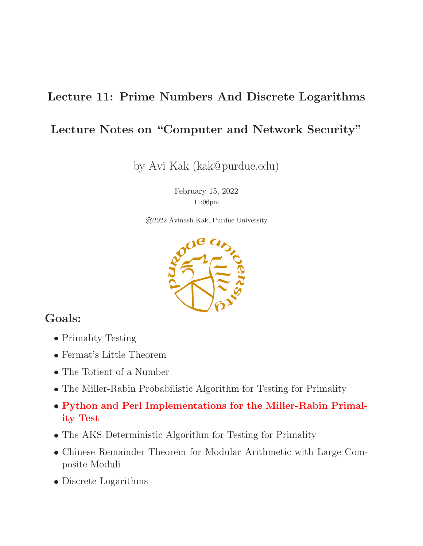### Lecture 11: Prime Numbers And Discrete Logarithms

### Lecture Notes on "Computer and Network Security"

by Avi Kak (kak@purdue.edu)

February 15, 2022 11:06pm

©2022 Avinash Kak, Purdue University



### Goals:

- Primality Testing
- Fermat's Little Theorem
- The Totient of a Number
- The Miller-Rabin Probabilistic Algorithm for Testing for Primality
- Python and Perl Implementations for the Miller-Rabin Primality Test
- The AKS Deterministic Algorithm for Testing for Primality
- Chinese Remainder Theorem for Modular Arithmetic with Large Composite Moduli
- Discrete Logarithms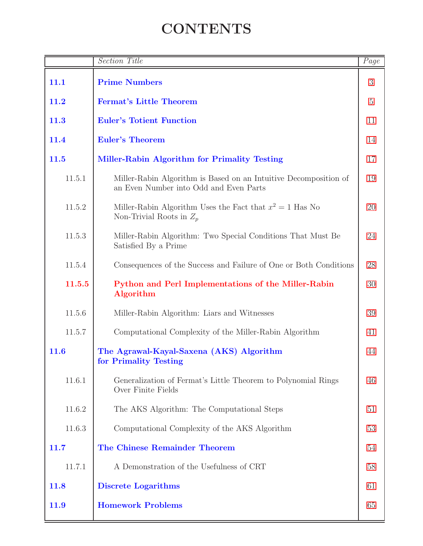# **CONTENTS**

<span id="page-1-0"></span>

|             | <b>Section Title</b>                                                                                       | Page |  |  |  |  |  |
|-------------|------------------------------------------------------------------------------------------------------------|------|--|--|--|--|--|
| 11.1        | <b>Prime Numbers</b>                                                                                       | 3    |  |  |  |  |  |
| 11.2        | $\overline{5}$<br><b>Fermat's Little Theorem</b>                                                           |      |  |  |  |  |  |
| 11.3        | <b>Euler's Totient Function</b><br>11                                                                      |      |  |  |  |  |  |
| 11.4        | <b>Euler's Theorem</b>                                                                                     | 14   |  |  |  |  |  |
| 11.5        | Miller-Rabin Algorithm for Primality Testing                                                               | 17   |  |  |  |  |  |
| 11.5.1      | Miller-Rabin Algorithm is Based on an Intuitive Decomposition of<br>an Even Number into Odd and Even Parts | 19   |  |  |  |  |  |
| 11.5.2      | Miller-Rabin Algorithm Uses the Fact that $x^2 = 1$ Has No<br>Non-Trivial Roots in $Z_p$                   | 20   |  |  |  |  |  |
| 11.5.3      | Miller-Rabin Algorithm: Two Special Conditions That Must Be<br>Satisfied By a Prime                        | 24   |  |  |  |  |  |
| 11.5.4      | Consequences of the Success and Failure of One or Both Conditions                                          | 28   |  |  |  |  |  |
| 11.5.5      | Python and Perl Implementations of the Miller-Rabin<br>Algorithm                                           | 30   |  |  |  |  |  |
| 11.5.6      | Miller-Rabin Algorithm: Liars and Witnesses                                                                | 39   |  |  |  |  |  |
| 11.5.7      | Computational Complexity of the Miller-Rabin Algorithm                                                     | 41   |  |  |  |  |  |
| 11.6        | The Agrawal-Kayal-Saxena (AKS) Algorithm<br>for Primality Testing                                          | 44   |  |  |  |  |  |
| 11.6.1      | Generalization of Fermat's Little Theorem to Polynomial Rings<br>Over Finite Fields                        | 46   |  |  |  |  |  |
| 11.6.2      | The AKS Algorithm: The Computational Steps                                                                 | 51   |  |  |  |  |  |
| 11.6.3      | Computational Complexity of the AKS Algorithm                                                              | 53   |  |  |  |  |  |
| 11.7        | The Chinese Remainder Theorem                                                                              | 54   |  |  |  |  |  |
| 11.7.1      | A Demonstration of the Usefulness of CRT                                                                   | 58   |  |  |  |  |  |
| <b>11.8</b> | <b>Discrete Logarithms</b>                                                                                 | 61   |  |  |  |  |  |
| 11.9        | <b>Homework Problems</b>                                                                                   | 65   |  |  |  |  |  |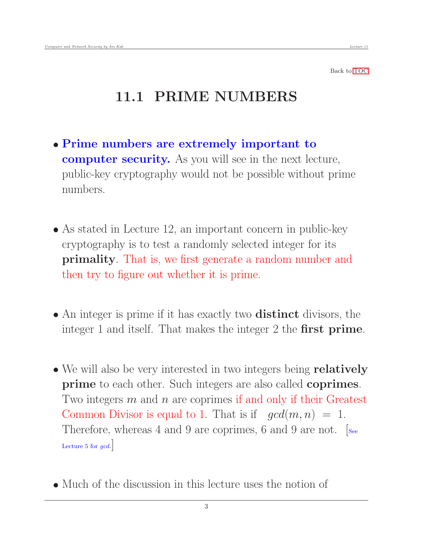# <span id="page-2-0"></span>11.1 PRIME NUMBERS

- Prime numbers are extremely important to computer security. As you will see in the next lecture, public-key cryptography would not be possible without prime numbers.
- As stated in Lecture 12, an important concern in public-key cryptography is to test a randomly selected integer for its primality. That is, we first generate a random number and then try to figure out whether it is prime.
- An integer is prime if it has exactly two **distinct** divisors, the integer 1 and itself. That makes the integer 2 the **first prime**.
- We will also be very interested in two integers being **relatively** prime to each other. Such integers are also called coprimes. Two integers  $m$  and  $n$  are coprimes if and only if their Greatest Common Divisor is equal to 1. That is if  $gcd(m, n) = 1$ . Therefore, whereas 4 and 9 are coprimes, 6 and 9 are not. [See Lecture 5 for  $\gcd.$
- Much of the discussion in this lecture uses the notion of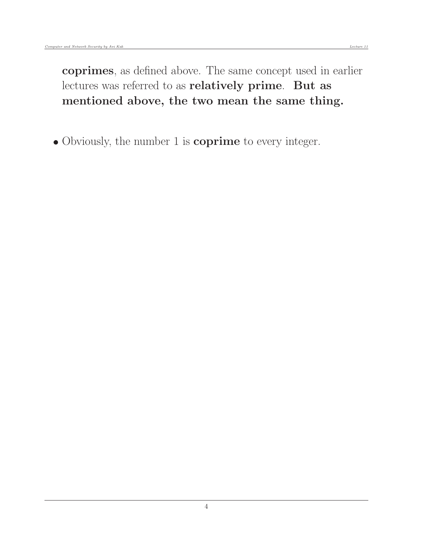coprimes, as defined above. The same concept used in earlier lectures was referred to as relatively prime. But as mentioned above, the two mean the same thing.

• Obviously, the number 1 is **coprime** to every integer.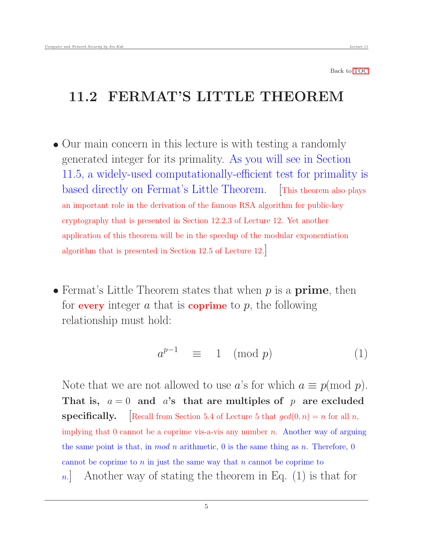### <span id="page-4-0"></span>11.2 FERMAT'S LITTLE THEOREM

- Our main concern in this lecture is with testing a randomly generated integer for its primality. As you will see in Section 11.5, a widely-used computationally-efficient test for primality is based directly on Fermat's Little Theorem. [This theorem also plays an important role in the derivation of the famous RSA algorithm for public-key cryptography that is presented in Section 12.2.3 of Lecture 12. Yet another application of this theorem will be in the speedup of the modular exponentiation algorithm that is presented in Section 12.5 of Lecture 12.]
- Fermat's Little Theorem states that when  $p$  is a **prime**, then for every integer a that is coprime to  $p$ , the following relationship must hold:

$$
a^{p-1} \equiv 1 \pmod{p} \tag{1}
$$

Note that we are not allowed to use a's for which  $a \equiv p \pmod{p}$ . That is,  $a = 0$  and a's that are multiples of p are excluded **specifically.** [Recall from Section 5.4 of Lecture 5 that  $gcd(0, n) = n$  for all n, implying that  $0$  cannot be a coprime vis-a-vis any number  $n$ . Another way of arguing the same point is that, in mod n arithmetic, 0 is the same thing as n. Therefore, 0 cannot be coprime to  $n$  in just the same way that  $n$  cannot be coprime to n. Another way of stating the theorem in Eq.  $(1)$  is that for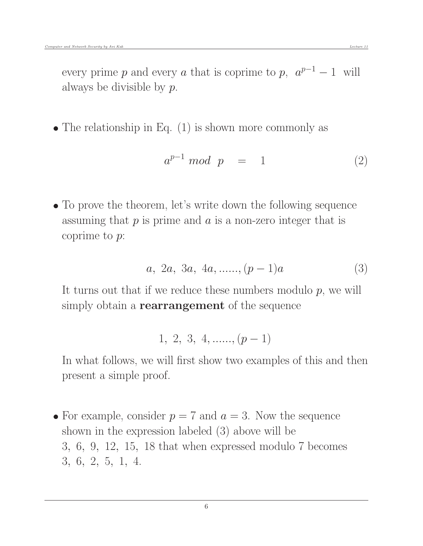every prime p and every a that is coprime to p,  $a^{p-1} - 1$  will always be divisible by p.

 $\bullet$  The relationship in Eq. (1) is shown more commonly as

$$
a^{p-1} \bmod p = 1 \tag{2}
$$

 To prove the theorem, let's write down the following sequence assuming that  $p$  is prime and  $a$  is a non-zero integer that is coprime to p:

$$
a, 2a, 3a, 4a, \dots, (p-1)a \tag{3}
$$

It turns out that if we reduce these numbers modulo  $p$ , we will simply obtain a **rearrangement** of the sequence

$$
1, 2, 3, 4, \ldots, (p-1)
$$

In what follows, we will first show two examples of this and then present a simple proof.

• For example, consider  $p = 7$  and  $a = 3$ . Now the sequence shown in the expression labeled (3) above will be 3, 6, 9, 12, 15, 18 that when expressed modulo 7 becomes 3, 6, 2, 5, 1, 4.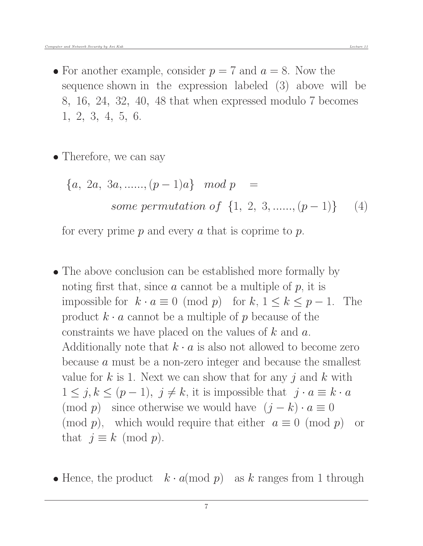• For another example, consider  $p = 7$  and  $a = 8$ . Now the sequence shown in the expression labeled (3) above will be 8, 16, 24, 32, 40, 48 that when expressed modulo 7 becomes 1, 2, 3, 4, 5, 6.

• Therefore, we can say

$$
\{a, 2a, 3a, \dots, (p-1)a\} \mod p =
$$
  
some permutation of {1, 2, 3, \dots, (p-1)} (4)

for every prime  $p$  and every  $a$  that is coprime to  $p$ .

- The above conclusion can be established more formally by noting first that, since  $\alpha$  cannot be a multiple of  $p$ , it is impossible for  $k \cdot a \equiv 0 \pmod{p}$  for  $k, 1 \le k \le p - 1$ . The product  $k \cdot a$  cannot be a multiple of p because of the constraints we have placed on the values of  $k$  and  $a$ . Additionally note that  $k \cdot a$  is also not allowed to become zero because a must be a non-zero integer and because the smallest value for k is 1. Next we can show that for any j and k with  $1 \leq j, k \leq (p-1), \ j \neq k$ , it is impossible that  $j \cdot a \equiv k \cdot a$ (mod p) since otherwise we would have  $(j - k) \cdot a \equiv 0$ (mod p), which would require that either  $a \equiv 0 \pmod{p}$  or that  $j \equiv k \pmod{p}$ .
- Hence, the product  $k \cdot a \pmod{p}$  as k ranges from 1 through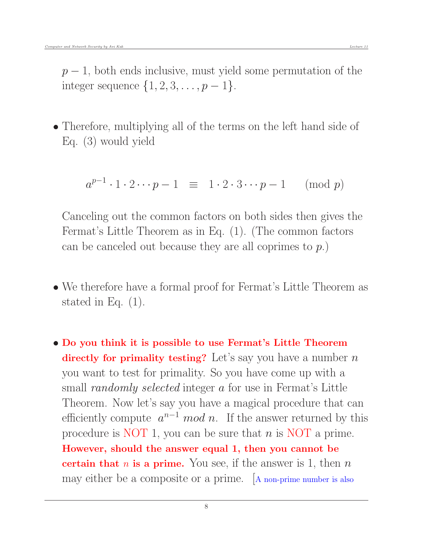$p-1$ , both ends inclusive, must yield some permutation of the integer sequence  $\{1, 2, 3, \ldots, p-1\}.$ 

• Therefore, multiplying all of the terms on the left hand side of Eq. (3) would yield

$$
a^{p-1} \cdot 1 \cdot 2 \cdots p - 1 \equiv 1 \cdot 2 \cdot 3 \cdots p - 1 \pmod{p}
$$

Canceling out the common factors on both sides then gives the Fermat's Little Theorem as in Eq. (1). (The common factors can be canceled out because they are all coprimes to p.)

- We therefore have a formal proof for Fermat's Little Theorem as stated in Eq. (1).
- Do you think it is possible to use Fermat's Little Theorem directly for primality testing? Let's say you have a number  $n$ you want to test for primality. So you have come up with a small *randomly selected* integer a for use in Fermat's Little Theorem. Now let's say you have a magical procedure that can efficiently compute  $a^{n-1} \mod n$ . If the answer returned by this procedure is NOT 1, you can be sure that  $n$  is NOT a prime. However, should the answer equal 1, then you cannot be certain that  $n$  is a prime. You see, if the answer is 1, then  $n$ may either be a composite or a prime. [A non-prime number is also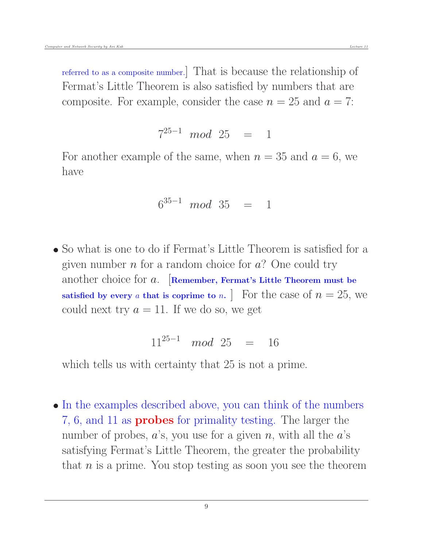referred to as a composite number.] That is because the relationship of Fermat's Little Theorem is also satisfied by numbers that are composite. For example, consider the case  $n = 25$  and  $a = 7$ :

$$
7^{25-1} \mod 25 = 1
$$

For another example of the same, when  $n = 35$  and  $a = 6$ , we have

$$
6^{35-1} \mod 35 = 1
$$

 So what is one to do if Fermat's Little Theorem is satisfied for a given number  $n$  for a random choice for  $a$ ? One could try another choice for  $a$ . [Remember, Fermat's Little Theorem must be satisfied by every a that is coprime to n. To For the case of  $n = 25$ , we could next try  $a = 11$ . If we do so, we get

$$
11^{25-1} \mod 25 = 16
$$

which tells us with certainty that 25 is not a prime.

• In the examples described above, you can think of the numbers 7, 6, and 11 as probes for primality testing. The larger the number of probes,  $a$ 's, you use for a given n, with all the  $a$ 's satisfying Fermat's Little Theorem, the greater the probability that  $n$  is a prime. You stop testing as soon you see the theorem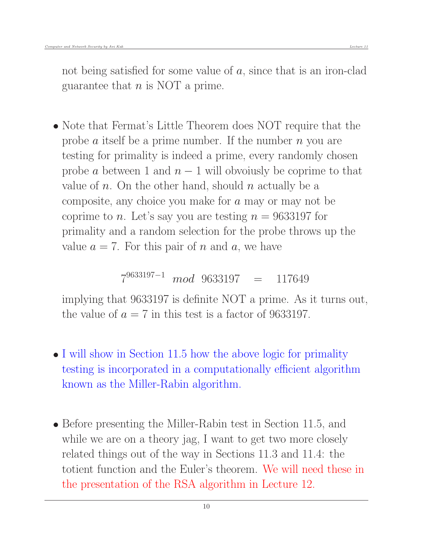not being satisfied for some value of  $a$ , since that is an iron-clad guarantee that  $n$  is NOT a prime.

• Note that Fermat's Little Theorem does NOT require that the probe a itself be a prime number. If the number  $n$  you are testing for primality is indeed a prime, every randomly chosen probe a between 1 and  $n-1$  will obvoiusly be coprime to that value of n. On the other hand, should n actually be a composite, any choice you make for a may or may not be coprime to n. Let's say you are testing  $n = 9633197$  for primality and a random selection for the probe throws up the value  $a = 7$ . For this pair of n and a, we have

7 <sup>9633197</sup>−<sup>1</sup> mod 9633197 = 117649

implying that 9633197 is definite NOT a prime. As it turns out, the value of  $a = 7$  in this test is a factor of 9633197.

- I will show in Section 11.5 how the above logic for primality testing is incorporated in a computationally efficient algorithm known as the Miller-Rabin algorithm.
- Before presenting the Miller-Rabin test in Section 11.5, and while we are on a theory jag, I want to get two more closely related things out of the way in Sections 11.3 and 11.4: the totient function and the Euler's theorem. We will need these in the presentation of the RSA algorithm in Lecture 12.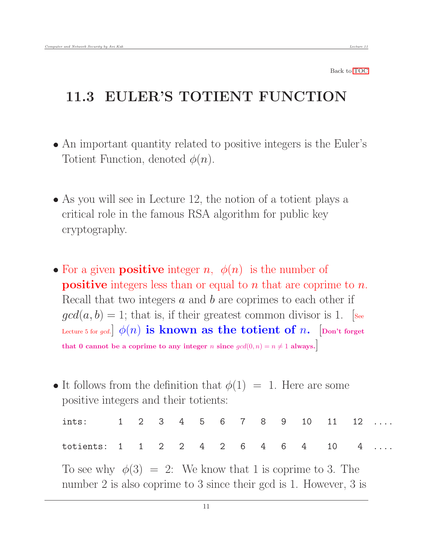## <span id="page-10-0"></span>11.3 EULER'S TOTIENT FUNCTION

- An important quantity related to positive integers is the Euler's Totient Function, denoted  $\phi(n)$ .
- As you will see in Lecture 12, the notion of a totient plays a critical role in the famous RSA algorithm for public key cryptography.
- For a given **positive** integer *n*,  $\phi(n)$  is the number of **positive** integers less than or equal to n that are coprime to n. Recall that two integers  $a$  and  $b$  are coprimes to each other if  $gcd(a, b) = 1$ ; that is, if their greatest common divisor is 1. [see Lecture 5 for gcd.  $\phi(n)$  is known as the totient of n. [Don't forget that 0 cannot be a coprime to any integer n since  $gcd(0, n) = n \neq 1$  always.
- It follows from the definition that  $\phi(1) = 1$ . Here are some positive integers and their totients:

| ints: $1 \t2 \t3 \t4 \t5 \t6 \t7 \t8 \t9 \t10 \t11 \t12 \t$ |  |  |  |  |  |  |  |
|-------------------------------------------------------------|--|--|--|--|--|--|--|
| totients: 1 1 2 2 4 2 6 4 6 4 10 4                          |  |  |  |  |  |  |  |

To see why  $\phi(3) = 2$ : We know that 1 is coprime to 3. The number 2 is also coprime to 3 since their gcd is 1. However, 3 is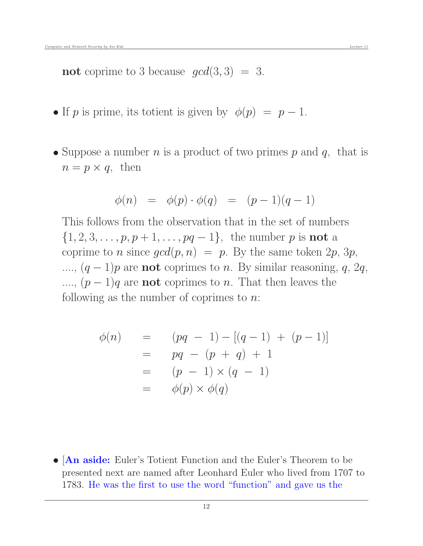not coprime to 3 because  $gcd(3,3) = 3$ .

- If p is prime, its totient is given by  $\phi(p) = p 1$ .
- Suppose a number  $n$  is a product of two primes  $p$  and  $q$ , that is  $n = p \times q$ , then

$$
\phi(n) = \phi(p) \cdot \phi(q) = (p-1)(q-1)
$$

This follows from the observation that in the set of numbers  $\{1, 2, 3, \ldots, p, p + 1, \ldots, pq - 1\}$ , the number p is **not** a coprime to *n* since  $gcd(p, n) = p$ . By the same token  $2p$ ,  $3p$ , ...,  $(q-1)p$  are **not** coprimes to *n*. By similar reasoning, q, 2q, ....,  $(p-1)q$  are **not** coprimes to *n*. That then leaves the following as the number of coprimes to  $n$ .

$$
\begin{array}{rcl}\n\phi(n) & = & (pq-1) - [(q-1) + (p-1)] \\
& = & pq - (p+q) + 1 \\
& = & (p-1) \times (q-1) \\
& = & \phi(p) \times \phi(q)\n\end{array}
$$

• [An aside: Euler's Totient Function and the Euler's Theorem to be presented next are named after Leonhard Euler who lived from 1707 to 1783. He was the first to use the word "function" and gave us the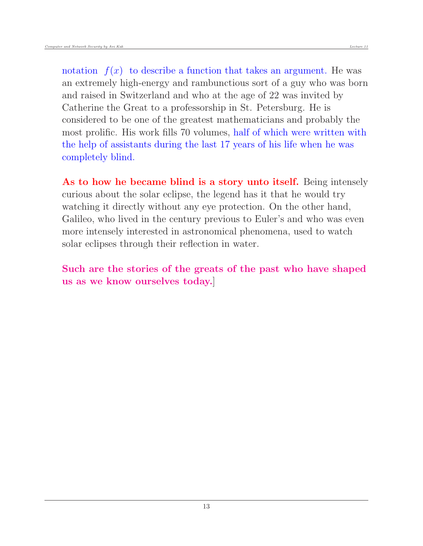notation  $f(x)$  to describe a function that takes an argument. He was an extremely high-energy and rambunctious sort of a guy who was born and raised in Switzerland and who at the age of 22 was invited by Catherine the Great to a professorship in St. Petersburg. He is considered to be one of the greatest mathematicians and probably the most prolific. His work fills 70 volumes, half of which were written with the help of assistants during the last 17 years of his life when he was completely blind.

As to how he became blind is a story unto itself. Being intensely curious about the solar eclipse, the legend has it that he would try watching it directly without any eye protection. On the other hand, Galileo, who lived in the century previous to Euler's and who was even more intensely interested in astronomical phenomena, used to watch solar eclipses through their reflection in water.

Such are the stories of the greats of the past who have shaped us as we know ourselves today.]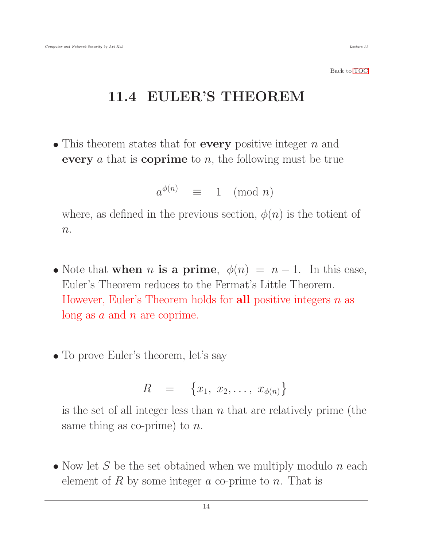## 11.4 EULER'S THEOREM

• This theorem states that for **every** positive integer  $n$  and every a that is coprime to  $n$ , the following must be true

<span id="page-13-0"></span>
$$
a^{\phi(n)} \equiv 1 \pmod{n}
$$

where, as defined in the previous section,  $\phi(n)$  is the totient of  $n$ .

- Note that when *n* is a prime,  $\phi(n) = n 1$ . In this case, Euler's Theorem reduces to the Fermat's Little Theorem. However, Euler's Theorem holds for **all** positive integers  $n$  as long as  $a$  and  $n$  are coprime.
- To prove Euler's theorem, let's say

$$
R = \left\{x_1, x_2, \ldots, x_{\phi(n)}\right\}
$$

is the set of all integer less than  $n$  that are relatively prime (the same thing as co-prime) to  $n$ .

• Now let S be the set obtained when we multiply modulo n each element of R by some integer a co-prime to n. That is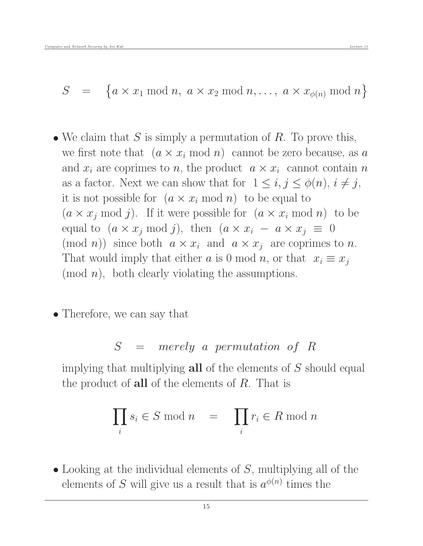$$
S = \{a \times x_1 \bmod n, \ a \times x_2 \bmod n, \dots, \ a \times x_{\phi(n)} \bmod n\}
$$

- We claim that  $S$  is simply a permutation of  $R$ . To prove this, we first note that  $(a \times x_i \mod n)$  cannot be zero because, as a and  $x_i$  are coprimes to n, the product  $a \times x_i$  cannot contain n as a factor. Next we can show that for  $1 \leq i, j \leq \phi(n), i \neq j$ , it is not possible for  $(a \times x_i \mod n)$  to be equal to  $(a \times x_i \mod j)$ . If it were possible for  $(a \times x_i \mod n)$  to be equal to  $(a \times x_j \mod j)$ , then  $(a \times x_i - a \times x_j \equiv 0)$  $p(\text{mod } n)$  since both  $a \times x_i$  and  $a \times x_j$  are coprimes to n. That would imply that either a is 0 mod n, or that  $x_i \equiv x_j$  $(mod n)$ , both clearly violating the assumptions.
- Therefore, we can say that

### S = merely a permutation of R

implying that multiplying **all** of the elements of  $S$  should equal the product of **all** of the elements of  $R$ . That is

$$
\prod_i s_i \in S \bmod n \quad = \quad \prod_i r_i \in R \bmod n
$$

• Looking at the individual elements of  $S$ , multiplying all of the elements of S will give us a result that is  $a^{\phi(n)}$  times the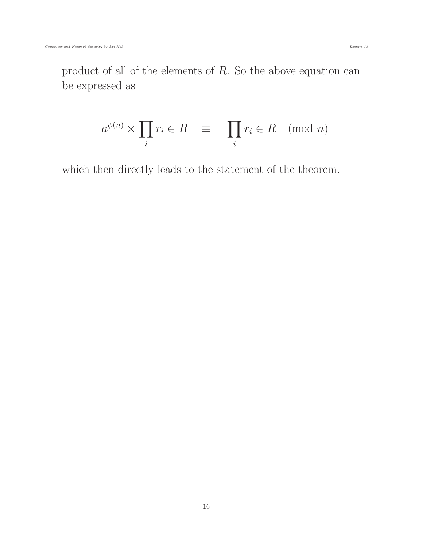$$
a^{\phi(n)} \times \prod_i r_i \in R \equiv \prod_i r_i \in R \pmod{n}
$$

which then directly leads to the statement of the theorem.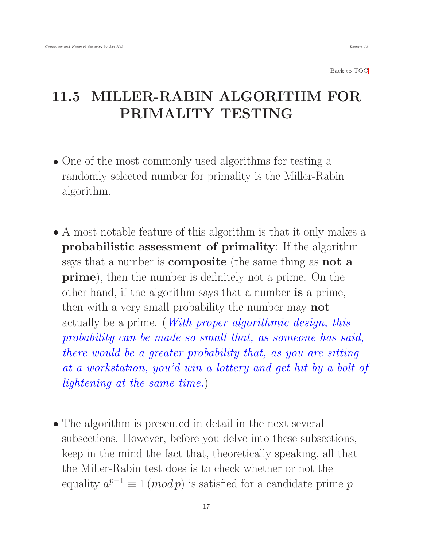# <span id="page-16-0"></span>11.5 MILLER-RABIN ALGORITHM FOR PRIMALITY TESTING

- One of the most commonly used algorithms for testing a randomly selected number for primality is the Miller-Rabin algorithm.
- A most notable feature of this algorithm is that it only makes a probabilistic assessment of primality: If the algorithm says that a number is **composite** (the same thing as **not** a prime), then the number is definitely not a prime. On the other hand, if the algorithm says that a number is a prime, then with a very small probability the number may **not** actually be a prime. (*With proper algorithmic design, this* probability can be made so small that, as someone has said, there would be a greater probability that, as you are sitting at a workstation, you'd win a lottery and get hit by a bolt of lightening at the same time.)
- The algorithm is presented in detail in the next several subsections. However, before you delve into these subsections, keep in the mind the fact that, theoretically speaking, all that the Miller-Rabin test does is to check whether or not the equality  $a^{p-1} \equiv 1 \pmod{p}$  is satisfied for a candidate prime p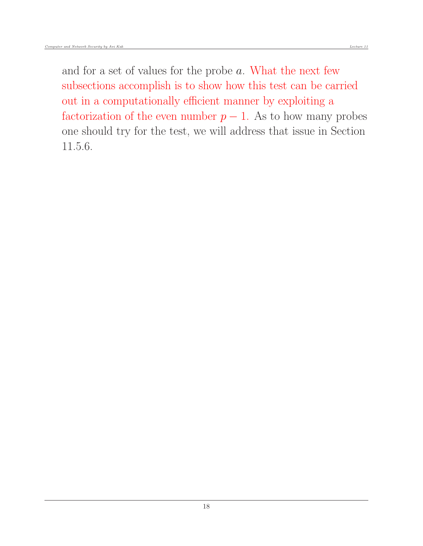and for a set of values for the probe a. What the next few subsections accomplish is to show how this test can be carried out in a computationally efficient manner by exploiting a factorization of the even number  $p-1$ . As to how many probes one should try for the test, we will address that issue in Section 11.5.6.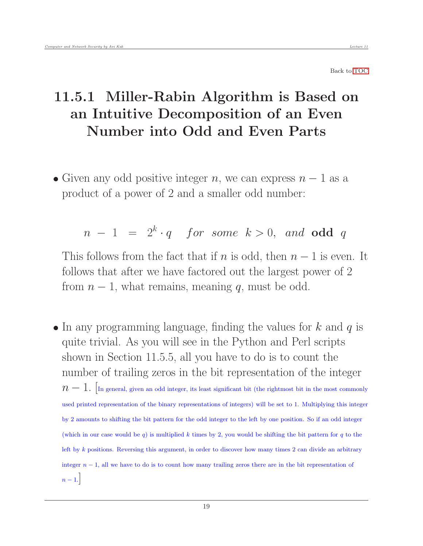# <span id="page-18-0"></span>11.5.1 Miller-Rabin Algorithm is Based on an Intuitive Decomposition of an Even Number into Odd and Even Parts

• Given any odd positive integer n, we can express  $n-1$  as a product of a power of 2 and a smaller odd number:

$$
n - 1 = 2k \cdot q
$$
 for some  $k > 0$ , and odd q

This follows from the fact that if n is odd, then  $n-1$  is even. It follows that after we have factored out the largest power of 2 from  $n-1$ , what remains, meaning q, must be odd.

 $\bullet$  In any programming language, finding the values for k and q is quite trivial. As you will see in the Python and Perl scripts shown in Section 11.5.5, all you have to do is to count the number of trailing zeros in the bit representation of the integer  $n-1$ . In general, given an odd integer, its least significant bit (the rightmost bit in the most commonly used printed representation of the binary representations of integers) will be set to 1. Multiplying this integer by 2 amounts to shifting the bit pattern for the odd integer to the left by one position. So if an odd integer (which in our case would be q) is multiplied k times by 2, you would be shifting the bit pattern for q to the left by k positions. Reversing this argument, in order to discover how many times 2 can divide an arbitrary integer  $n-1$ , all we have to do is to count how many trailing zeros there are in the bit representation of  $n-1.$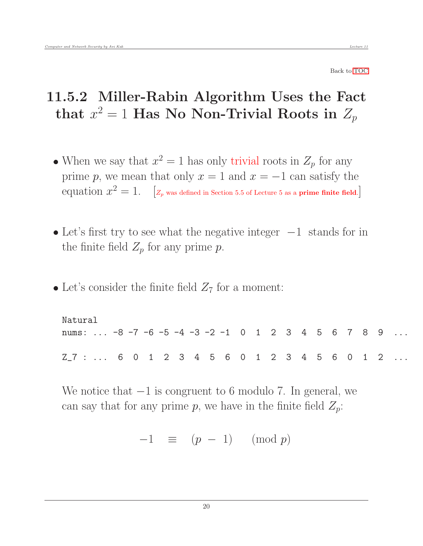# <span id="page-19-0"></span>11.5.2 Miller-Rabin Algorithm Uses the Fact that  $x^2 = 1$  Has No Non-Trivial Roots in  $Z_p$

- When we say that  $x^2 = 1$  has only trivial roots in  $Z_p$  for any prime p, we mean that only  $x = 1$  and  $x = -1$  can satisfy the equation  $x^2 = 1$ . [ $z_p$  was defined in Section 5.5 of Lecture 5 as a prime finite field.]
- Let's first try to see what the negative integer  $-1$  stands for in the finite field  $Z_p$  for any prime p.
- Let's consider the finite field  $Z<sub>7</sub>$  for a moment:

Natural nums: ...  $-8$   $-7$   $-6$   $-5$   $-4$   $-3$   $-2$   $-1$  0 1 2 3 4 5 6 7 8 9  $Z_7$  : ... 6 0 1 2 3 4 5 6 0 1 2 3 4 5 6 0 1 2

We notice that −1 is congruent to 6 modulo 7. In general, we can say that for any prime p, we have in the finite field  $Z_p$ :

 $-1 \equiv (p - 1) \pmod{p}$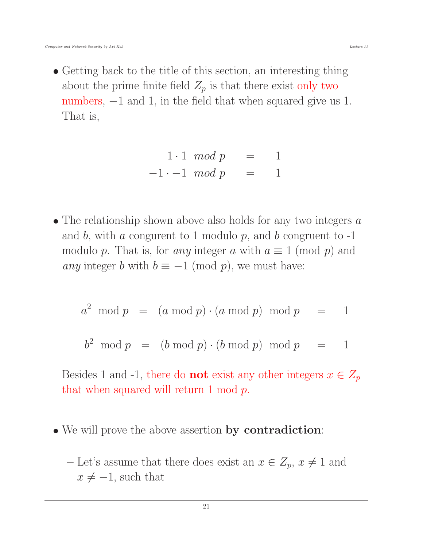• Getting back to the title of this section, an interesting thing about the prime finite field  $Z_p$  is that there exist only two numbers,  $-1$  and 1, in the field that when squared give us 1. That is,

$$
1 \cdot 1 \mod p = 1
$$
  

$$
-1 \cdot -1 \mod p = 1
$$

• The relationship shown above also holds for any two integers  $a$ and b, with a congurent to 1 modulo  $p$ , and b congruent to  $-1$ modulo p. That is, for any integer a with  $a \equiv 1 \pmod{p}$  and any integer b with  $b \equiv -1 \pmod{p}$ , we must have:

$$
a^2 \mod p \quad = \quad (a \mod p) \cdot (a \mod p) \mod p \quad = \quad 1
$$

$$
b2 \mod p = (b \mod p) \cdot (b \mod p) \mod p = 1
$$

Besides 1 and -1, there do **not** exist any other integers  $x \in Z_p$ that when squared will return 1 mod p.

- We will prove the above assertion by contradiction:
	- Let's assume that there does exist an  $x \in Z_p$ ,  $x \neq 1$  and  $x \neq -1$ , such that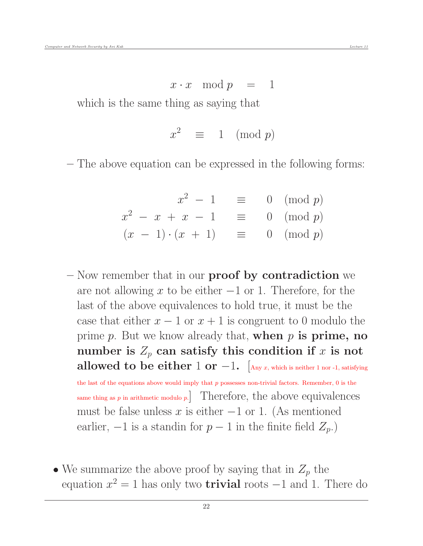which is the same thing as saying that

 $x^2 \equiv 1 \pmod{p}$ 

– The above equation can be expressed in the following forms:

$$
x^{2} - 1 \equiv 0 \pmod{p}
$$
  

$$
x^{2} - x + x - 1 \equiv 0 \pmod{p}
$$
  

$$
(x - 1) \cdot (x + 1) \equiv 0 \pmod{p}
$$

– Now remember that in our **proof** by contradiction we are not allowing x to be either  $-1$  or 1. Therefore, for the last of the above equivalences to hold true, it must be the case that either  $x - 1$  or  $x + 1$  is congruent to 0 modulo the prime  $p$ . But we know already that, when  $p$  is prime, no number is  $Z_p$  can satisfy this condition if x is not allowed to be either 1 or  $-1$ . [Any x, which is neither 1 nor -1, satisfying the last of the equations above would imply that  $p$  possesses non-trivial factors. Remember,  $0$  is the same thing as  $p$  in arithmetic modulo  $p$ . Therefore, the above equivalences must be false unless  $x$  is either  $-1$  or 1. (As mentioned earlier,  $-1$  is a standin for  $p-1$  in the finite field  $Z_p$ .)

• We summarize the above proof by saying that in  $Z_p$  the equation  $x^2 = 1$  has only two **trivial** roots  $-1$  and 1. There do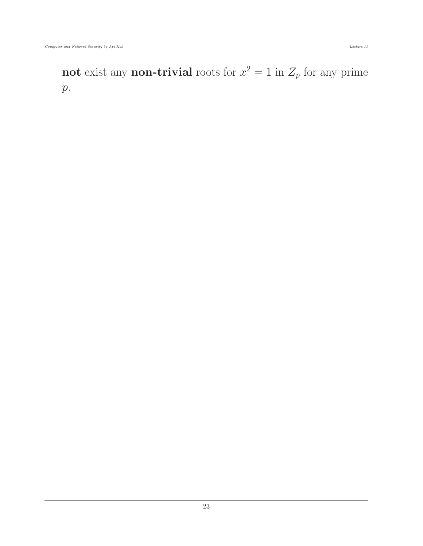not exist any non-trivial roots for  $x^2 = 1$  in  $Z_p$  for any prime  $p$ .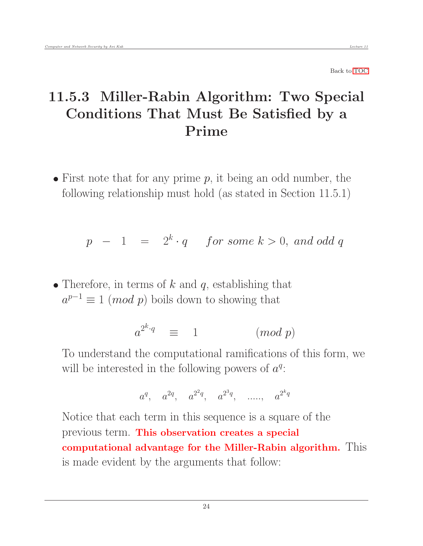# <span id="page-23-0"></span>11.5.3 Miller-Rabin Algorithm: Two Special Conditions That Must Be Satisfied by a Prime

 $\bullet$  First note that for any prime p, it being an odd number, the following relationship must hold (as stated in Section 11.5.1)

$$
p - 1 = 2k \cdot q
$$
 for some  $k > 0$ , and odd q

• Therefore, in terms of  $k$  and  $q$ , establishing that  $a^{p-1} \equiv 1 \pmod{p}$  boils down to showing that

$$
a^{2^k \cdot q} \equiv 1 \qquad (mod \ p)
$$

To understand the computational ramifications of this form, we will be interested in the following powers of  $a^q$ :

$$
a^q
$$
,  $a^{2q}$ ,  $a^{2^2q}$ ,  $a^{2^3q}$ , ......,  $a^{2^kq}$ 

Notice that each term in this sequence is a square of the previous term. This observation creates a special computational advantage for the Miller-Rabin algorithm. This is made evident by the arguments that follow: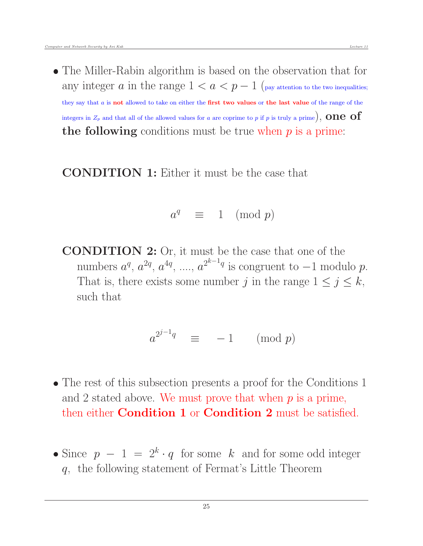The Miller-Rabin algorithm is based on the observation that for any integer a in the range  $1 < a < p - 1$  (pay attention to the two inequalities; they say that a is not allowed to take on either the first two values or the last value of the range of the integers in  $Z_p$  and that all of the allowed values for a are coprime to p if p is truly a prime), **ONE** of the following conditions must be true when  $p$  is a prime:

CONDITION 1: Either it must be the case that

$$
a^q \equiv 1 \pmod{p}
$$

CONDITION 2: Or, it must be the case that one of the numbers  $a^q$ ,  $a^{2q}$ ,  $a^{4q}$ , ....,  $a^{2^{k-1}q}$  is congruent to  $-1$  modulo  $p$ . That is, there exists some number j in the range  $1 \le j \le k$ , such that

$$
a^{2^{j-1}q} \equiv -1 \pmod{p}
$$

- The rest of this subsection presents a proof for the Conditions 1 and 2 stated above. We must prove that when  $p$  is a prime, then either **Condition 1** or **Condition 2** must be satisfied.
- Since  $p 1 = 2<sup>k</sup> \cdot q$  for some k and for some odd integer q, the following statement of Fermat's Little Theorem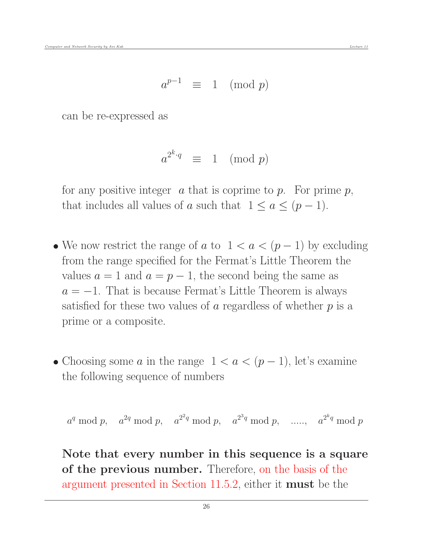$$
a^{p-1} \equiv 1 \pmod{p}
$$

can be re-expressed as

$$
a^{2^k \cdot q} \equiv 1 \pmod{p}
$$

for any positive integer  $\alpha$  that is coprime to  $p$ . For prime  $p$ , that includes all values of a such that  $1 \le a \le (p-1)$ .

- We now restrict the range of a to  $1 < a < (p-1)$  by excluding from the range specified for the Fermat's Little Theorem the values  $a = 1$  and  $a = p - 1$ , the second being the same as  $a = -1$ . That is because Fermat's Little Theorem is always satisfied for these two values of  $\alpha$  regardless of whether  $p$  is a prime or a composite.
- Choosing some a in the range  $1 < a < (p-1)$ , let's examine the following sequence of numbers

$$
a^q \bmod p
$$
,  $a^{2q} \bmod p$ ,  $a^{2^2q} \bmod p$ ,  $a^{2^3q} \bmod p$ , ...,  $a^{2^kq} \bmod p$ 

Note that every number in this sequence is a square of the previous number. Therefore, on the basis of the argument presented in Section 11.5.2, either it must be the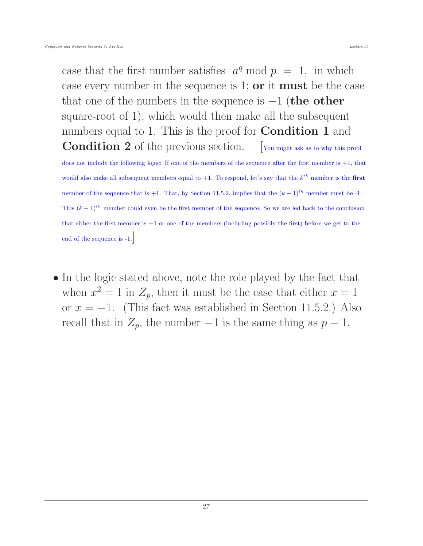case that the first number satisfies  $a^q \mod p = 1$ , in which case every number in the sequence is 1; or it must be the case that one of the numbers in the sequence is  $-1$  (the other square-root of 1), which would then make all the subsequent numbers equal to 1. This is the proof for **Condition 1** and Condition 2 of the previous section. [You might ask as to why this proof

does not include the following logic: If one of the members of the sequence after the first member is +1, that would also make all subsequent members equal to  $+1$ . To respond, let's say that the  $k^{th}$  member is the first member of the sequence that is +1. That, by Section 11.5.2, implies that the  $(k-1)^{th}$  member must be -1. This  $(k-1)$ <sup>th</sup> member could even be the first member of the sequence. So we are led back to the conclusion that either the first member is +1 or one of the members (including possibly the first) before we get to the end of the sequence is -1.

• In the logic stated above, note the role played by the fact that when  $x^2 = 1$  in  $Z_p$ , then it must be the case that either  $x = 1$ or  $x = -1$ . (This fact was established in Section 11.5.2.) Also recall that in  $Z_p$ , the number  $-1$  is the same thing as  $p-1$ .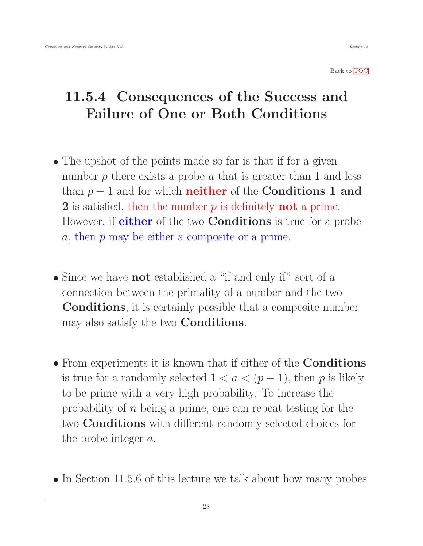# <span id="page-27-0"></span>11.5.4 Consequences of the Success and Failure of One or Both Conditions

- The upshot of the points made so far is that if for a given number  $p$  there exists a probe  $a$  that is greater than 1 and less than  $p-1$  and for which **neither** of the **Conditions 1 and** 2 is satisfied, then the number  $p$  is definitely **not** a prime. However, if **either** of the two **Conditions** is true for a probe a, then p may be either a composite or a prime.
- Since we have **not** established a "if and only if" sort of a connection between the primality of a number and the two Conditions, it is certainly possible that a composite number may also satisfy the two Conditions.
- From experiments it is known that if either of the **Conditions** is true for a randomly selected  $1 < a < (p-1)$ , then p is likely to be prime with a very high probability. To increase the probability of n being a prime, one can repeat testing for the two Conditions with different randomly selected choices for the probe integer a.
- In Section 11.5.6 of this lecture we talk about how many probes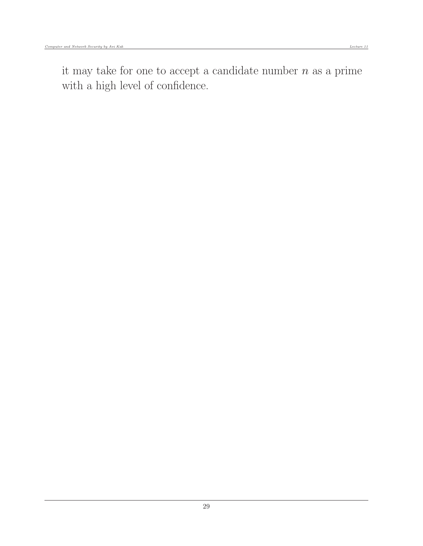it may take for one to accept a candidate number  $n$  as a prime with a high level of confidence.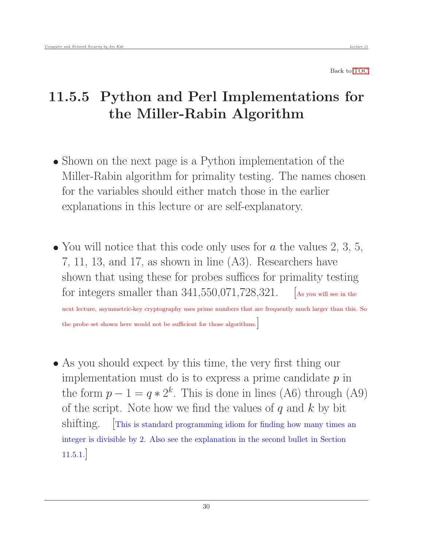# <span id="page-29-0"></span>11.5.5 Python and Perl Implementations for the Miller-Rabin Algorithm

- Shown on the next page is a Python implementation of the Miller-Rabin algorithm for primality testing. The names chosen for the variables should either match those in the earlier explanations in this lecture or are self-explanatory.
- You will notice that this code only uses for  $a$  the values 2, 3, 5, 7, 11, 13, and 17, as shown in line (A3). Researchers have shown that using these for probes suffices for primality testing for integers smaller than  $341,550,071,728,321$ . [As you will see in the

next lecture, asymmetric-key cryptography uses prime numbers that are frequently much larger than this. So the probe set shown here would not be sufficient for those algorithms.]

 As you should expect by this time, the very first thing our implementation must do is to express a prime candidate  $p$  in the form  $p - 1 = q * 2<sup>k</sup>$ . This is done in lines (A6) through (A9) of the script. Note how we find the values of  $q$  and  $k$  by bit shifting. This is standard programming idiom for finding how many times an integer is divisible by 2. Also see the explanation in the second bullet in Section 11.5.1.]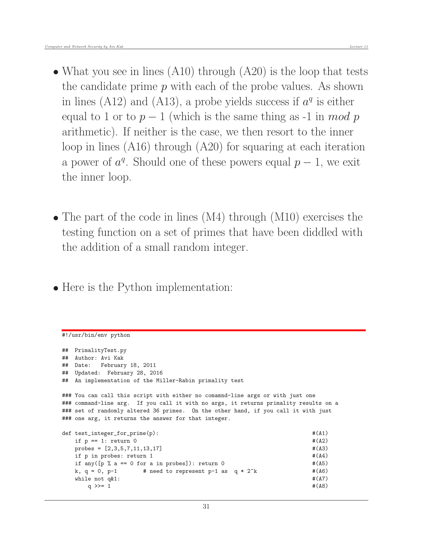- What you see in lines (A10) through (A20) is the loop that tests the candidate prime  $p$  with each of the probe values. As shown in lines (A12) and (A13), a probe yields success if  $a<sup>q</sup>$  is either equal to 1 or to  $p-1$  (which is the same thing as -1 in mod p arithmetic). If neither is the case, we then resort to the inner loop in lines (A16) through (A20) for squaring at each iteration a power of  $a^q$ . Should one of these powers equal  $p-1$ , we exit the inner loop.
- The part of the code in lines (M4) through (M10) exercises the testing function on a set of primes that have been diddled with the addition of a small random integer.
- Here is the Python implementation:

```
#!/usr/bin/env python
## PrimalityTest.py
## Author: Avi Kak
## Date: February 18, 2011
## Updated: February 28, 2016
## An implementation of the Miller-Rabin primality test
### You can call this script with either no comamnd-line args or with just one
### command-line arg. If you call it with no args, it returns primality results on a
### set of randomly altered 36 primes. On the other hand, if you call it with just
### one arg, it returns the answer for that integer.
def test_integer_for_prime(p): \#(A1)if p == 1: return 0 \#(A2)probes = [2,3,5,7,11,13,17] #(A3)
  if p in probes: return 1 \#(A4)if any([p \text{ % } a == 0 \text{ for a in probes}]): return 0 #(A5)
  k, q = 0, p-1 # need to represent p-1 as q * 2^k #(A6)
  while not q\&1: \#(A7)q >>= 1 \#(A8)
```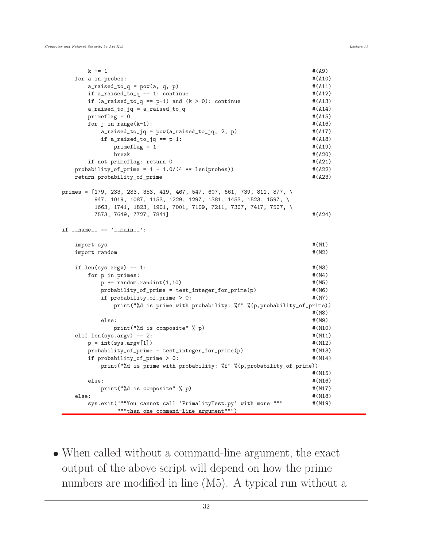```
k += 1 \#(A9)for a in probes: \#(A10)
    a\_rased_to_q = pow(a, q, p) #(A11)if a\_raised\_to_q == 1: continue \#(A12)if (a\_raised_to_q == p-1) and (k > 0): continue \#(A13)a<sub>raised_to_jq</sub> = a<sub>raised_to_q</sub> \qquad #(A14)
    \text{primeflag} = 0 \#(\text{A15})for j in range(k-1): \#(A16)a\_raised_to_jq = pow(a\_raised_to_jq, 2, p) #(A17)
      if a\_rained_to_jq == p-1: \#(A18)prime = 1 \#(A19)
        break \#(A20)if not primeflag: return 0 \#(A21)probability_of_prime = 1 - 1.0/(4 ** len(probes)) #(A22)
  return probability_of_prime \#(A23)
primes = [179, 233, 283, 353, 419, 467, 547, 607, 661, 739, 811, 877, \
     947, 1019, 1087, 1153, 1229, 1297, 1381, 1453, 1523, 1597, \
     1663, 1741, 1823, 1901, 7001, 7109, 7211, 7307, 7417, 7507, \
     7573, 7649, 7727, 7841] #(A24) \#(A24)
if __name__ == '__main__':
  import sys \#(M1)import random \#(M2)if len(sys.argv) == 1: #(M3)for p in primes: \#(M4)p \leftarrow \text{random.random}(1,10) #(M5)
      probability_of_prime = test_integer_for_prime(p) \#(M6)if probability_of_prime > 0: \#(M7)print("%d is prime with probability: %f" %(p,probability_of_prime))
                                         #(M8)
      else: #(M9)
        print("%d is composite" % p) \#(M10)elif len(sys.argv) == 2: #(M11)
    p = int(sys.argv[1]) #(M12)probability_of_prime = test_integer_for_prime(p) \# (M13)if probability_of_prime > 0: \# (M14)print("%d is prime with probability: %f" %(p,probability_of_prime))
                                         #(M15)
    else: #(M16)
      print("%d is composite" % p) \#(M17)else: #(M18)
    sys.exit("""You cannot call 'PrimalityTest.py' with more """ \#(M19)
         """than one command-line argument""")
```
 When called without a command-line argument, the exact output of the above script will depend on how the prime numbers are modified in line  $(M5)$ . A typical run without a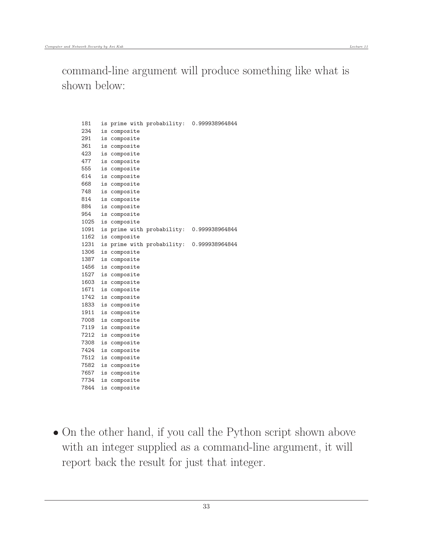command-line argument will produce something like what is shown below:

181 is prime with probability: 0.999938964844 234 is composite 291 is composite 361 is composite 423 is composite 477 is composite 555 is composite 614 is composite 668 is composite 748 is composite 814 is composite 884 is composite 954 is composite 1025 is composite 1091 is prime with probability: 0.999938964844 1162 is composite 1231 is prime with probability: 0.999938964844 1306 is composite 1387 is composite 1456 is composite 1527 is composite 1603 is composite 1671 is composite 1742 is composite 1833 is composite 1911 is composite 7008 is composite 7119 is composite 7212 is composite 7308 is composite 7424 is composite 7512 is composite 7582 is composite 7657 is composite 7734 is composite 7844 is composite

• On the other hand, if you call the Python script shown above with an integer supplied as a command-line argument, it will report back the result for just that integer.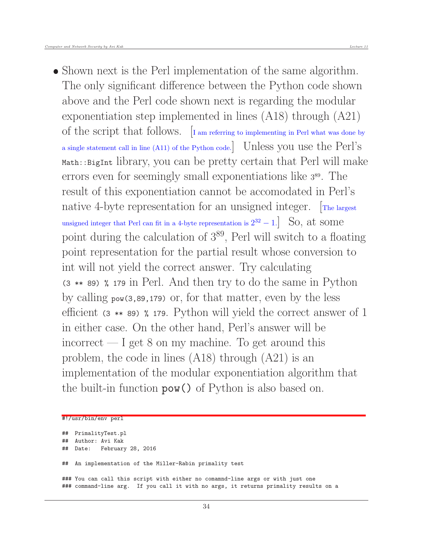• Shown next is the Perl implementation of the same algorithm. The only significant difference between the Python code shown above and the Perl code shown next is regarding the modular exponentiation step implemented in lines (A18) through (A21) of the script that follows.  $\left[$ I am referring to implementing in Perl what was done by a single statement call in line (A11) of the Python code.] Unless you use the Perl's Math::BigInt library, you can be pretty certain that Perl will make errors even for seemingly small exponentiations like <sup>3</sup> <sup>89</sup>. The result of this exponentiation cannot be accomodated in Perl's native 4-byte representation for an unsigned integer. The largest unsigned integer that Perl can fit in a 4-byte representation is  $2^{32} - 1$ . So, at some point during the calculation of  $3^{89}$ , Perl will switch to a floating point representation for the partial result whose conversion to int will not yield the correct answer. Try calculating (3 \*\* 89) % 179 in Perl. And then try to do the same in Python by calling pow(3,89,179) or, for that matter, even by the less efficient (3 \*\* 89) % 179. Python will yield the correct answer of 1 in either case. On the other hand, Perl's answer will be incorrect  $-$  I get 8 on my machine. To get around this problem, the code in lines (A18) through (A21) is an implementation of the modular exponentiation algorithm that the built-in function pow() of Python is also based on.

#### #!/usr/bin/env perl

```
## PrimalityTest.pl
## Author: Avi Kak
## Date: February 28, 2016
## An implementation of the Miller-Rabin primality test
### You can call this script with either no comamnd-line args or with just one
### command-line arg. If you call it with no args, it returns primality results on a
```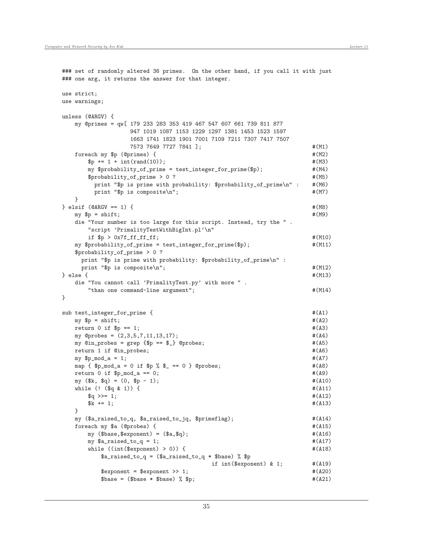```
### set of randomly altered 36 primes. On the other hand, if you call it with just
### one arg, it returns the answer for that integer.
use strict;
use warnings;
unless (@ARGV) {
  my @primes = qw[ 179 233 283 353 419 467 547 607 661 739 811 877
               947 1019 1087 1153 1229 1297 1381 1453 1523 1597
               1663 1741 1823 1901 7001 7109 7211 7307 7417 7507
               7573 7649 7727 7841 ]; #(M1)
   foreach my $p (@primes) { \# (M2)\text{sp} += 1 + int(rand(10)); \text{#}(M3)my $probability_of_prime = test_integer_for_prime($p); #(M4)
     $probability_of_prime > 0 ? # (M5)
       print "$p is prime with probability: $probability_of_prime\n" : #(M6)
       print "$p is composite\n"; \#(M7)}
} elsif (0ARGV == 1) { # (M8)my \p = shift; \#(M9)die "Your number is too large for this script. Instead, try the " .
     "script 'PrimalityTestWithBigInt.pl'\n"
     if \text{Sp} > 0x7f_fff_fff_f; \text{H(M10)}my $probability_of_prime = test_integer_for_prime($p); #(M11)
   $probability_of_prime > 0 ?
    print "$p is prime with probability: $probability_of_prime\n" :
    print "$p is composite\n"; \#(M12)\} else { \#(M13)die "You cannot call 'PrimalityTest.py' with more " .
     "than one command-line argument"; \#(M14)}
sub test_integer_for_prime { \# (A1)
  my \text{sp} = \text{shift}; \text{#}(A2)return 0 if p == 1; #(A3)my @probes = (2,3,5,7,11,13,17); #(A4)
  my @in_{\mathbf{probes}} = \text{prep } \{ \text{\$p == \$_}\} @probes; #(A5)
  return 1 if @in\_probes; \#(A6)my p_{\text{mod}} = 1; \#(A7)map \{ \text{ $p\text{-mod}_a = 0$ if $p \text{ }, $s_ = = 0$ } \text{ } \text{ \&probes;} #(A8)
  return 0 if p_{mod a} = 0; #(AB)my (\frac{1}{2}k, \frac{1}{2}q) = (0, \frac{1}{2}p - 1); #(A10)
  while (! ($q & 1) [\qquad \qquad \qquad \qquad \qquad \qquad \qquad \qquad \qquad \qquad \qquad \qquad \qquad \qquad \qquad \qquad \qquad \qquad \qquad \qquad \qquad \qquad \qquad \qquad \qquad \qquad \qquad \qquad \qquad \qquad \qquad \qquad \qquad \qquad \qquad \qquad \qquad \qquad \qquad \qquad \qquad \qquad \qquad \qquad \qquad \qquad \qquad \qquad \qquad \qquadx^2 + 1; x^3 + (A13)}
  my ($a_raised_to_q, $a_raised_to_jq, $primeflag); #(A14)
  foreach my $a (@probes) { \#(A15)
     my ($base,$exponent) = ($a, $q); \#(A16)my a_r = 1; \#(A17)while ((int($exponent) > 0)) { #(A18)a_r = (a_r - b_r) * ba_r = (aa_r - b_r)if int($exponent) & 1; \#(A19)% $exponent = $exponent >> 1; \#(A20)\text{phase} = (\text{phase} * \text{phase}) % \text{bp}; \text{p}; \text{p}
```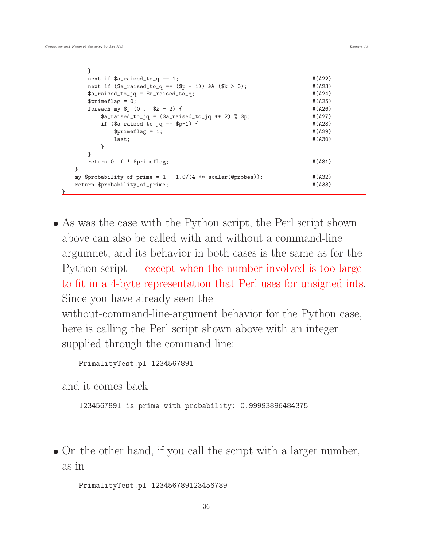<u>}</u>

| }                                                                  |             |
|--------------------------------------------------------------------|-------------|
| next if $a_{r}$ aised_to_q == 1;                                   | #(A22)      |
| next if $($a\_raised_to_q == ($p - 1))$ & $($k > 0)$ ;             | #(A23)      |
| $a_r = a_s$ $a_r = a_r$ $a_r = a_s$                                | #(A24)      |
| $$prime$ = 0;                                                      | #(A25)      |
| foreach my $(i)$ (0 $k - 2$ ) {                                    | #(A26)      |
| $a_{r} = (a_{r} - a_{r})$ = $(a_{r} - a_{r})$ +* 2) $\gamma$ $p$ ; | $#$ $(A27)$ |
| if $(\$a\_raised_to_iq == $p-1)$ {                                 | #(A28)      |
| $$prime$ = 1;                                                      | #(A29)      |
| last;                                                              | #(A30)      |
| ł                                                                  |             |
| ł                                                                  |             |
| return 0 if ! \$primeflag;                                         | #(A31)      |
| ł                                                                  |             |
| my \$probability_of_prime = $1 - 1.0/(4 ** scalar(@probes));$      | #(A32)      |
| return \$probability_of_prime;                                     | #(A33)      |
|                                                                    |             |

 As was the case with the Python script, the Perl script shown above can also be called with and without a command-line argumnet, and its behavior in both cases is the same as for the Python script — except when the number involved is too large to fit in a 4-byte representation that Perl uses for unsigned ints. Since you have already seen the without-command-line-argument behavior for the Python case, here is calling the Perl script shown above with an integer supplied through the command line:

PrimalityTest.pl 1234567891

and it comes back

```
1234567891 is prime with probability: 0.99993896484375
```
• On the other hand, if you call the script with a larger number, as in

PrimalityTest.pl 123456789123456789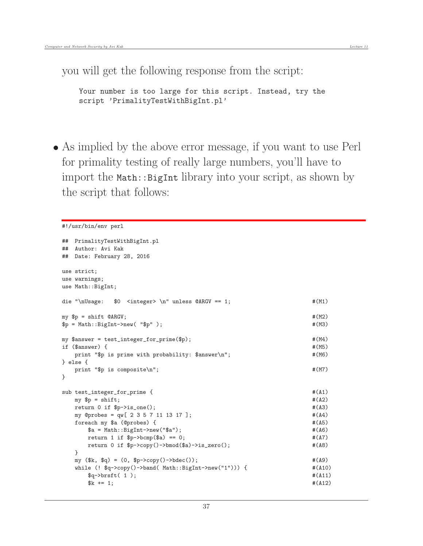you will get the following response from the script:

```
Your number is too large for this script. Instead, try the
script 'PrimalityTestWithBigInt.pl'
```
 As implied by the above error message, if you want to use Perl for primality testing of really large numbers, you'll have to import the Math::BigInt library into your script, as shown by the script that follows:

```
#!/usr/bin/env perl
```

```
## PrimalityTestWithBigInt.pl
## Author: Avi Kak
## Date: February 28, 2016
use strict;
use warnings;
use Math::BigInt;
die "\nUsage: $0 <integer> \n" unless @ARGV == 1; \# (M1)my \text{sp} = \text{shift} \text{QARGV}; \text{#}(M2)\text{sp} = \text{Math}:\text{BigInt}-\text{new}(\text{``}\text{`p''}); \text{#}(M3)my $answer = test_integer_for_prime($p); #(M4)
if ($answer) { \# (M5)print "$p is prime with probability: $answer\n"; \#(M6)} else {
   print "$p is composite\n"; \#(M7)}
sub test_integer_for_prime { \#(A1)my \text{sp} = \text{shift}; \text{#}(A2)return 0 if p-\text{is\_one}(); \#(A3)my @probes = qw[ 2 3 5 7 11 13 17 ]; \# (A4)foreach my $a (@probes) { #(A5)
      a = Math::BigInt->new("a"); \#(A6)return 1 if p>\text{bcm}(a) == 0; #(A7)
      return 0 if $p->copy()->bmod($a)->is_zero(); #(A8)
   }
   my (\frac{1}{2}k, \frac{1}{2}q) = (0, \frac{1}{2}p - \text{2}q)(-\text{2}b\text{dec})). #(A9)
   while (! $q->copy()->band( Math::BigInt->new("1"))) { \# (A10)
      \qquad \qquad \qquad \qquad \qquad \qquad \qquad \qquad \qquad \qquad \qquad \qquad \qquad \qquad \qquad \qquad \qquad \qquad \qquad \qquad \qquad \qquad \qquad \qquad \qquad \qquad \qquad \qquad \qquad \qquad \qquad \qquad \qquad \qquad \qquad \qquad \qquad \qquad \qquad \x^2 + 1; x^3 + (A12)^2
```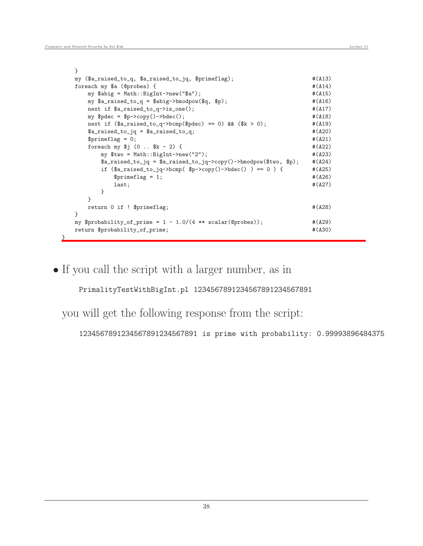|   | ŀ                                                                                                                                                                                                                                                                                                                                                                                            |        |
|---|----------------------------------------------------------------------------------------------------------------------------------------------------------------------------------------------------------------------------------------------------------------------------------------------------------------------------------------------------------------------------------------------|--------|
|   | my (\$a_raised_to_q, \$a_raised_to_jq, \$primeflag);                                                                                                                                                                                                                                                                                                                                         | #(A13) |
|   | foreach my \$a (@probes) {                                                                                                                                                                                                                                                                                                                                                                   | #(A14) |
|   | my \$abig = Math::BigInt->new("\$a");                                                                                                                                                                                                                                                                                                                                                        | #(A15) |
|   | my $a_r = \alpha_0$ , $a_r = \alpha_0$ , $a_r = \alpha_0$ , $a_r = \alpha_0$ , $a_r = \alpha_0$ , $a_r = \alpha_0$ , $a_r = \alpha_0$ , $a_r = \alpha_0$ , $a_r = \alpha_0$ , $a_r = \alpha_0$ , $a_r = \alpha_0$ , $a_r = \alpha_0$ , $a_r = \alpha_0$ , $a_r = \alpha_0$ , $a_r = \alpha_0$ , $a_r = \alpha_0$ , $a_r = \alpha_0$ , $a_r = \alpha_0$ , $a_r = \alpha_0$ , $a_r = \alpha_0$ | #(A16) |
|   | next if $a_{raised_to_q->is\_one()$ ;                                                                                                                                                                                                                                                                                                                                                        | #(A17) |
|   | my $$pdec = $p->copy()->bdec()$ ;                                                                                                                                                                                                                                                                                                                                                            | #(A18) |
|   | next if $($a\_raised_to_q->bcmp($pdec) == 0)$ & $($k > 0);$                                                                                                                                                                                                                                                                                                                                  | #(A19) |
|   | $a_{r} =$ $a_{r} =$ $a_{r} =$ $a_{r} =$ $a_{r} =$ $a_{r} =$ $a_{r} =$                                                                                                                                                                                                                                                                                                                        | #(A20) |
|   | $$primeflag = 0;$                                                                                                                                                                                                                                                                                                                                                                            | #(A21) |
|   | foreach my $i(0$ $k - 2)$ {                                                                                                                                                                                                                                                                                                                                                                  | #(A22) |
|   | my $two = Math::BigInt->new("2")$ ;                                                                                                                                                                                                                                                                                                                                                          | #(A23) |
|   |                                                                                                                                                                                                                                                                                                                                                                                              | #(A24) |
|   | if $($a\_raised_to_jq->bcmp( $p->copy()->bdec()) == 0 )$ {                                                                                                                                                                                                                                                                                                                                   | #(A25) |
|   | $$prime$ = 1;                                                                                                                                                                                                                                                                                                                                                                                | #(A26) |
|   | last;                                                                                                                                                                                                                                                                                                                                                                                        | #(A27) |
|   | }                                                                                                                                                                                                                                                                                                                                                                                            |        |
|   | ł                                                                                                                                                                                                                                                                                                                                                                                            |        |
|   | return 0 if ! \$primeflag;                                                                                                                                                                                                                                                                                                                                                                   | #(A28) |
|   | $\mathcal{F}$                                                                                                                                                                                                                                                                                                                                                                                |        |
|   | my \$probability_of_prime = $1 - 1.0/(4 ** scalar(@probes));$                                                                                                                                                                                                                                                                                                                                | #(A29) |
|   | return \$probability_of_prime;                                                                                                                                                                                                                                                                                                                                                               | #(A30) |
| ł |                                                                                                                                                                                                                                                                                                                                                                                              |        |

If you call the script with a larger number, as in

PrimalityTestWithBigInt.pl 1234567891234567891234567891

you will get the following response from the script:

1234567891234567891234567891 is prime with probability: 0.99993896484375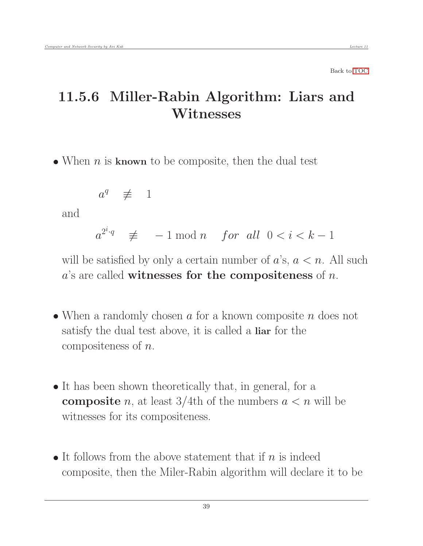## 11.5.6 Miller-Rabin Algorithm: Liars and Witnesses

• When  $n$  is known to be composite, then the dual test

<span id="page-38-0"></span>
$$
a^q \quad \not\equiv \quad 1
$$

and

 $a^{2^i \cdot q} \equiv -1 \mod n$  for all  $0 < i < k - 1$ 

will be satisfied by only a certain number of  $a$ 's,  $a < n$ . All such  $a$ 's are called witnesses for the compositeness of  $n$ .

- When a randomly chosen  $a$  for a known composite  $n$  does not satisfy the dual test above, it is called a liar for the compositeness of n.
- It has been shown theoretically that, in general, for a **composite** n, at least  $3/4$ th of the numbers  $a < n$  will be witnesses for its compositeness.
- It follows from the above statement that if  $n$  is indeed composite, then the Miler-Rabin algorithm will declare it to be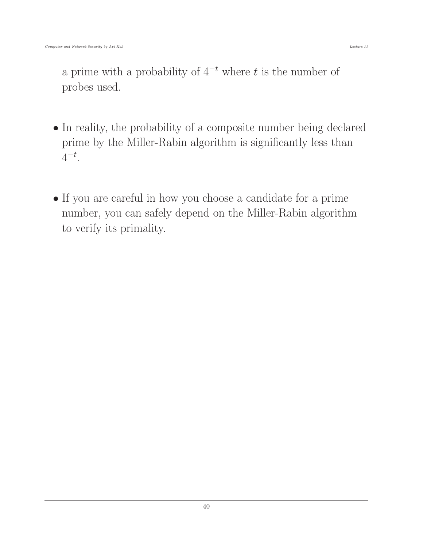a prime with a probability of  $4^{-t}$  where t is the number of probes used.

- In reality, the probability of a composite number being declared prime by the Miller-Rabin algorithm is significantly less than  $4^{-t}$ .
- If you are careful in how you choose a candidate for a prime number, you can safely depend on the Miller-Rabin algorithm to verify its primality.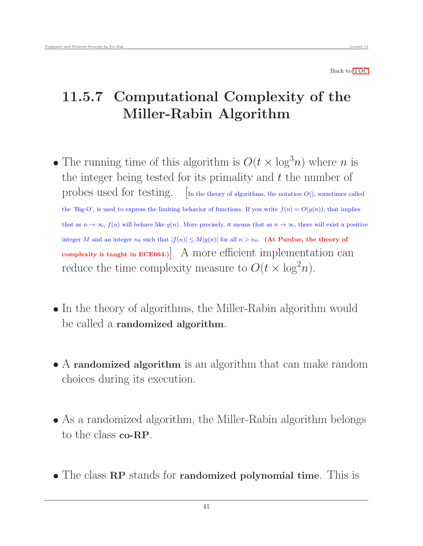# <span id="page-40-0"></span>11.5.7 Computational Complexity of the Miller-Rabin Algorithm

- The running time of this algorithm is  $O(t \times \log^3 n)$  where n is the integer being tested for its primality and  $t$  the number of probes used for testing.  $\left[$ In the theory of algorithms, the notation  $O()$ , sometimes called the 'Big-O', is used to express the limiting behavior of functions. If you write  $f(n) = O(g(n))$ , that implies that as  $n \to \infty$ ,  $f(n)$  will behave like  $g(n)$ . More precisely, it means that as  $n \to \infty$ , there will exist a positive integer M and an integer  $n_0$  such that  $|f(n)| \leq M|g(n)|$  for all  $n > n_0$ . (At Purdue, the theory of complexity is taught in ECE664.) A more efficient implementation can reduce the time complexity measure to  $O(t \times \log^2 n)$ .
- In the theory of algorithms, the Miller-Rabin algorithm would be called a randomized algorithm.
- A randomized algorithm is an algorithm that can make random choices during its execution.
- As a randomized algorithm, the Miller-Rabin algorithm belongs to the class co-RP.
- The class RP stands for randomized polynomial time. This is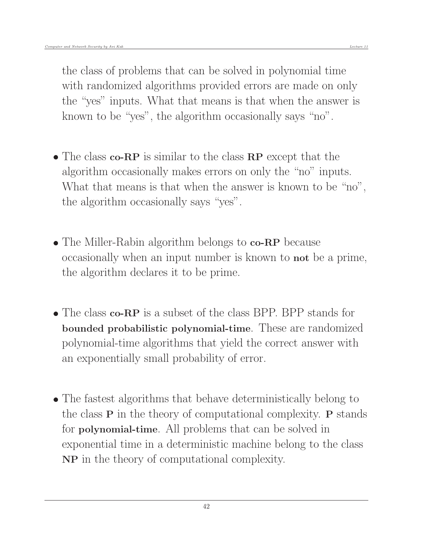the class of problems that can be solved in polynomial time with randomized algorithms provided errors are made on only the "yes" inputs. What that means is that when the answer is known to be "yes", the algorithm occasionally says "no".

- The class **co-RP** is similar to the class **RP** except that the algorithm occasionally makes errors on only the "no" inputs. What that means is that when the answer is known to be "no", the algorithm occasionally says "yes".
- The Miller-Rabin algorithm belongs to **co-RP** because occasionally when an input number is known to not be a prime, the algorithm declares it to be prime.
- The class co-RP is a subset of the class BPP. BPP stands for bounded probabilistic polynomial-time. These are randomized polynomial-time algorithms that yield the correct answer with an exponentially small probability of error.
- The fastest algorithms that behave deterministically belong to the class P in the theory of computational complexity. P stands for polynomial-time. All problems that can be solved in exponential time in a deterministic machine belong to the class NP in the theory of computational complexity.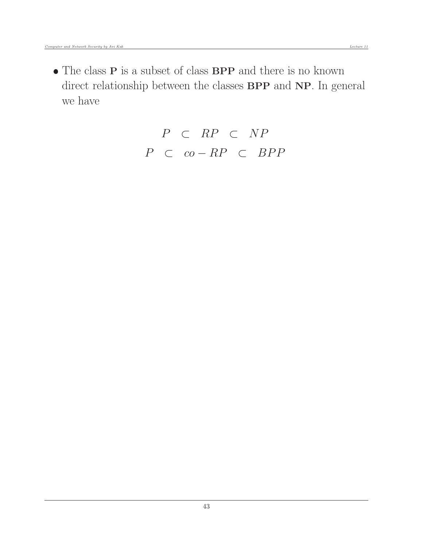$\bullet$  The class  ${\bf P}$  is a subset of class  ${\bf BPP}$  and there is no known direct relationship between the classes **BPP** and **NP**. In general we have

$$
P \subset RP \subset NP
$$
  

$$
P \subset co-RP \subset BPP
$$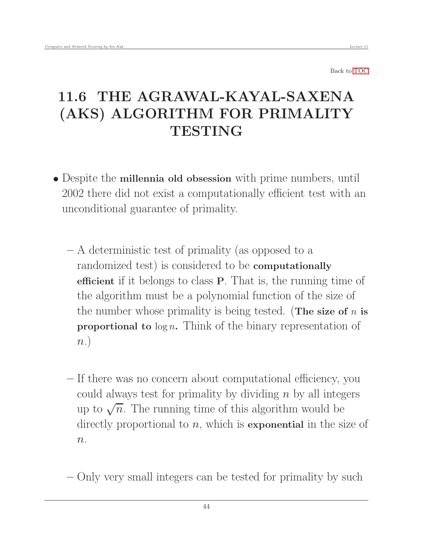# <span id="page-43-0"></span>11.6 THE AGRAWAL-KAYAL-SAXENA (AKS) ALGORITHM FOR PRIMALITY **TESTING**

- Despite the millennia old obsession with prime numbers, until 2002 there did not exist a computationally efficient test with an unconditional guarantee of primality.
	- A deterministic test of primality (as opposed to a randomized test) is considered to be computationally efficient if it belongs to class P. That is, the running time of the algorithm must be a polynomial function of the size of the number whose primality is being tested. (The size of  $n$  is **proportional to**  $\log n$ . Think of the binary representation of  $n.$
	- If there was no concern about computational efficiency, you could always test for primality by dividing  $n$  by all integers up to  $\sqrt{n}$ . The running time of this algorithm would be directly proportional to  $n$ , which is **exponential** in the size of  $n$ .
	- Only very small integers can be tested for primality by such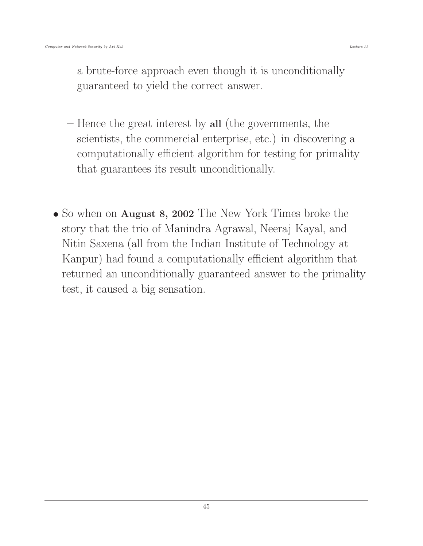a brute-force approach even though it is unconditionally guaranteed to yield the correct answer.

- Hence the great interest by all (the governments, the scientists, the commercial enterprise, etc.) in discovering a computationally efficient algorithm for testing for primality that guarantees its result unconditionally.
- So when on **August 8, 2002** The New York Times broke the story that the trio of Manindra Agrawal, Neeraj Kayal, and Nitin Saxena (all from the Indian Institute of Technology at Kanpur) had found a computationally efficient algorithm that returned an unconditionally guaranteed answer to the primality test, it caused a big sensation.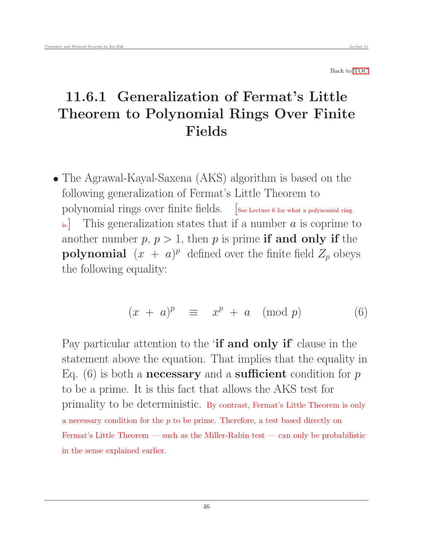# <span id="page-45-0"></span>11.6.1 Generalization of Fermat's Little Theorem to Polynomial Rings Over Finite Fields

• The Agrawal-Kayal-Saxena (AKS) algorithm is based on the following generalization of Fermat's Little Theorem to polynomial rings over finite fields. [See Lecture 6 for what a polynomial ring is. This generalization states that if a number  $a$  is coprime to another number  $p, p > 1$ , then p is prime **if and only if** the **polynomial**  $(x + a)^p$  defined over the finite field  $Z_p$  obeys the following equality:

$$
(x + a)^p \equiv x^p + a \pmod{p} \tag{6}
$$

Pay particular attention to the '**if and only if'** clause in the statement above the equation. That implies that the equality in Eq. (6) is both a **necessary** and a **sufficient** condition for  $p$ to be a prime. It is this fact that allows the AKS test for primality to be deterministic. By contrast, Fermat's Little Theorem is only a necessary condition for the  $p$  to be prime. Therefore, a test based directly on Fermat's Little Theorem — such as the Miller-Rabin test — can only be probabilistic in the sense explained earlier.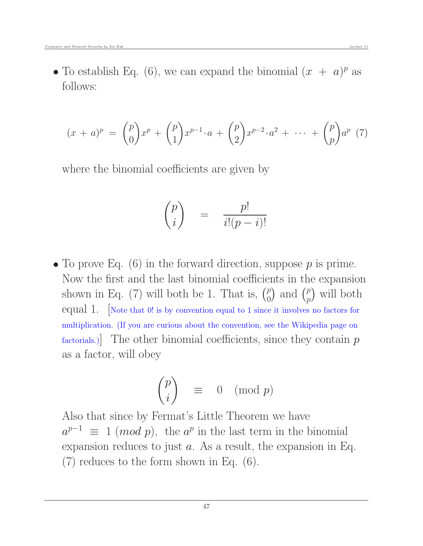• To establish Eq. (6), we can expand the binomial  $(x + a)^p$  as follows:

$$
(x+a)^p = {p \choose 0} x^p + {p \choose 1} x^{p-1} \cdot a + {p \choose 2} x^{p-2} \cdot a^2 + \cdots + {p \choose p} a^p \tag{7}
$$

where the binomial coefficients are given by

$$
\binom{p}{i} \quad = \quad \frac{p!}{i!(p-i)!}
$$

• To prove Eq.  $(6)$  in the forward direction, suppose p is prime. Now the first and the last binomial coefficients in the expansion shown in Eq. (7) will both be 1. That is,  $\binom{p}{0}$  $\binom{p}{0}$  and  $\binom{p}{p}$  $_p^p$ ) will both equal 1. [Note that 0! is by convention equal to 1 since it involves no factors for multiplication. (If you are curious about the convention, see the Wikipedia page on factorials.) The other binomial coefficients, since they contain  $p$ as a factor, will obey

$$
\binom{p}{i} \equiv 0 \pmod{p}
$$

Also that since by Fermat's Little Theorem we have  $a^{p-1} \equiv 1 \pmod{p}$ , the  $a^p$  in the last term in the binomial expansion reduces to just  $a$ . As a result, the expansion in Eq. (7) reduces to the form shown in Eq. (6).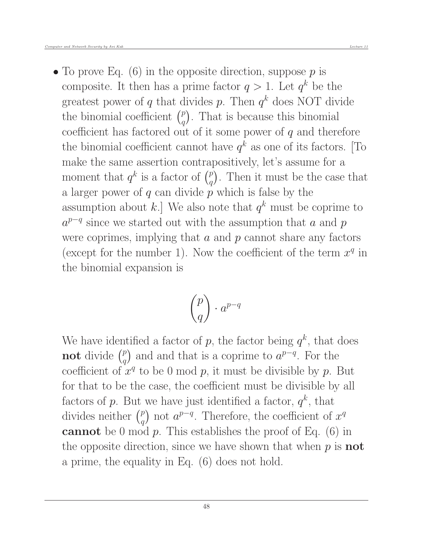• To prove Eq.  $(6)$  in the opposite direction, suppose p is composite. It then has a prime factor  $q > 1$ . Let  $q^k$  be the greatest power of q that divides p. Then  $q^k$  does NOT divide the binomial coefficient  $\binom{p}{q}$  $\binom{p}{q}$ . That is because this binomial coefficient has factored out of it some power of  $q$  and therefore the binomial coefficient cannot have  $q^k$  as one of its factors. [To make the same assertion contrapositively, let's assume for a moment that  $q^k$  is a factor of  $\binom{p}{q}$  $\binom{p}{q}$ . Then it must be the case that a larger power of q can divide  $\overline{p}$  which is false by the assumption about k.] We also note that  $q^k$  must be coprime to  $a^{p-q}$  since we started out with the assumption that a and p were coprimes, implying that  $a$  and  $p$  cannot share any factors (except for the number 1). Now the coefficient of the term  $x^q$  in the binomial expansion is

$$
\binom{p}{q} \cdot a^{p-q}
$$

We have identified a factor of p, the factor being  $q^k$ , that does not divide  $\binom{p}{q}$  $\binom{p}{q}$  and and that is a coprime to  $a^{p-q}$ . For the coefficient of  $x^q$  to be 0 mod p, it must be divisible by p. But for that to be the case, the coefficient must be divisible by all factors of p. But we have just identified a factor,  $q^k$ , that divides neither  $\binom{p}{q}$  $\binom{p}{q}$  not  $a^{p-q}$ . Therefore, the coefficient of  $x^q$ **cannot** be 0 mod p. This establishes the proof of Eq.  $(6)$  in the opposite direction, since we have shown that when  $p$  is **not** a prime, the equality in Eq. (6) does not hold.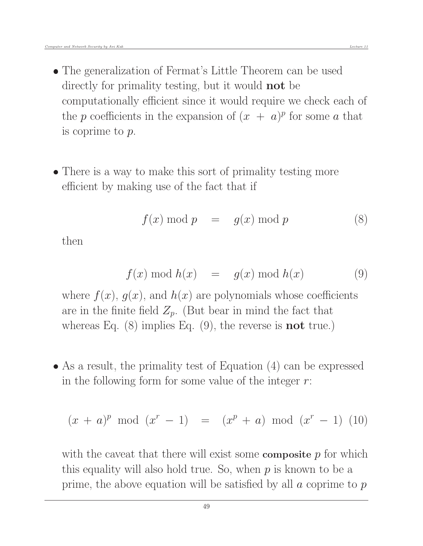- The generalization of Fermat's Little Theorem can be used directly for primality testing, but it would not be computationally efficient since it would require we check each of the p coefficients in the expansion of  $(x + a)^p$  for some a that is coprime to p.
- There is a way to make this sort of primality testing more efficient by making use of the fact that if

$$
f(x) \bmod p = g(x) \bmod p \tag{8}
$$

then

$$
f(x) \bmod h(x) = g(x) \bmod h(x) \tag{9}
$$

where  $f(x)$ ,  $g(x)$ , and  $h(x)$  are polynomials whose coefficients are in the finite field  $Z_p$ . (But bear in mind the fact that whereas Eq.  $(8)$  implies Eq.  $(9)$ , the reverse is **not** true.)

 As a result, the primality test of Equation (4) can be expressed in the following form for some value of the integer  $r$ :

$$
(x + a)^p
$$
 mod  $(x^r - 1) = (x^p + a) \text{ mod } (x^r - 1)$  (10)

with the caveat that there will exist some **composite**  $p$  for which this equality will also hold true. So, when  $p$  is known to be a prime, the above equation will be satisfied by all  $\alpha$  coprime to  $p$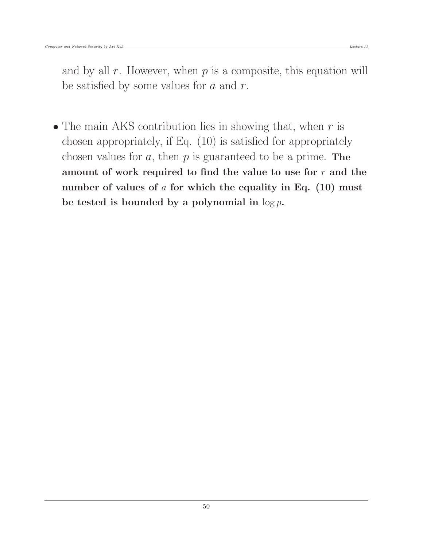and by all  $r$ . However, when  $p$  is a composite, this equation will be satisfied by some values for  $a$  and  $r$ .

• The main AKS contribution lies in showing that, when  $r$  is chosen appropriately, if Eq. (10) is satisfied for appropriately chosen values for  $a$ , then  $p$  is guaranteed to be a prime. The amount of work required to find the value to use for  $r$  and the number of values of  $a$  for which the equality in Eq. (10) must be tested is bounded by a polynomial in  $\log p$ .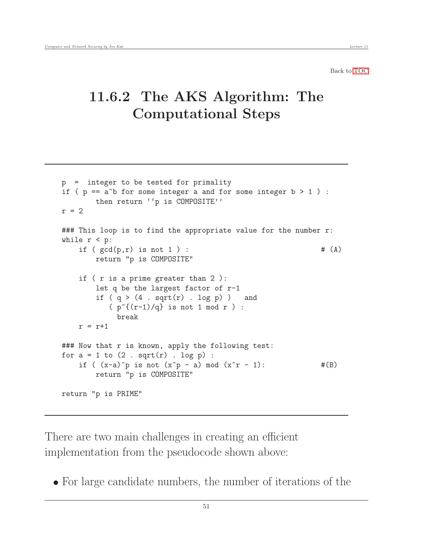## <span id="page-50-0"></span>11.6.2 The AKS Algorithm: The Computational Steps

```
p = integer to be tested for primality
if (p == a<sup>b</sup> for some integer a and for some integer b > 1) :
       then return ''p is COMPOSITE''
r = 2### This loop is to find the appropriate value for the number r:
while r < p:
    if ( gcd(p,r) is not 1 ) : # (A)return "p is COMPOSITE"
    if ( r is a prime greater than 2 ):
       let q be the largest factor of r-1
        if (q > (4 \cdot sqrt(r) \cdot log p)) and
           (p^{(r-1)/q} is not 1 mod r ) :
            break
   r = r+1### Now that r is known, apply the following test:
for a = 1 to (2 \text{ . } sqrt(r) \text{ . } log p) :
    if ((x-a)^p) is not (x^p - a) mod (x^r - 1): #(B)
       return "p is COMPOSITE"
return "p is PRIME"
```
There are two main challenges in creating an efficient implementation from the pseudocode shown above:

For large candidate numbers, the number of iterations of the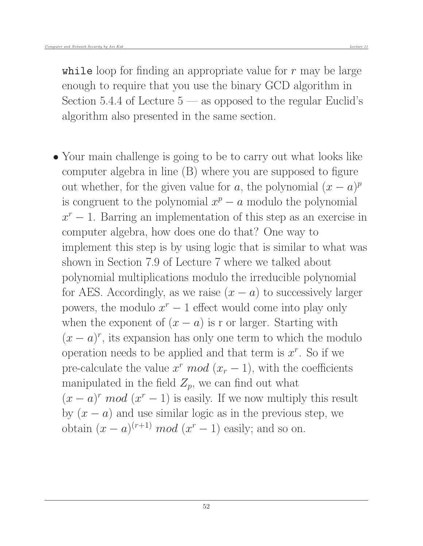while loop for finding an appropriate value for  $r$  may be large enough to require that you use the binary GCD algorithm in Section 5.4.4 of Lecture  $5$  — as opposed to the regular Euclid's algorithm also presented in the same section.

 Your main challenge is going to be to carry out what looks like computer algebra in line (B) where you are supposed to figure out whether, for the given value for  $a$ , the polynomial  $(x - a)^p$ is congruent to the polynomial  $x^p - a$  modulo the polynomial  $x^r - 1$ . Barring an implementation of this step as an exercise in computer algebra, how does one do that? One way to implement this step is by using logic that is similar to what was shown in Section 7.9 of Lecture 7 where we talked about polynomial multiplications modulo the irreducible polynomial for AES. Accordingly, as we raise  $(x - a)$  to successively larger powers, the modulo  $x^r - 1$  effect would come into play only when the exponent of  $(x - a)$  is r or larger. Starting with  $(x - a)^r$ , its expansion has only one term to which the modulo operation needs to be applied and that term is  $x^r$ . So if we pre-calculate the value  $x^r \mod (x_r - 1)$ , with the coefficients manipulated in the field  $Z_p$ , we can find out what  $(x - a)^r \mod (x^r - 1)$  is easily. If we now multiply this result by  $(x - a)$  and use similar logic as in the previous step, we obtain  $(x - a)^{(r+1)}$  mod  $(x^r - 1)$  easily; and so on.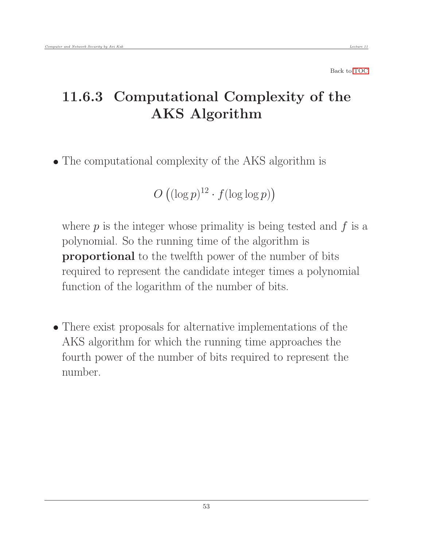# 11.6.3 Computational Complexity of the AKS Algorithm

The computational complexity of the AKS algorithm is

<span id="page-52-0"></span>
$$
O\left((\log p)^{12}\cdot f(\log\log p)\right)
$$

where  $p$  is the integer whose primality is being tested and  $f$  is a polynomial. So the running time of the algorithm is proportional to the twelfth power of the number of bits required to represent the candidate integer times a polynomial function of the logarithm of the number of bits.

 There exist proposals for alternative implementations of the AKS algorithm for which the running time approaches the fourth power of the number of bits required to represent the number.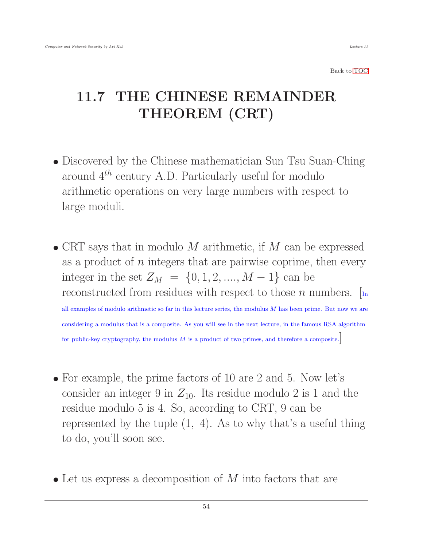# <span id="page-53-0"></span>11.7 THE CHINESE REMAINDER THEOREM (CRT)

- Discovered by the Chinese mathematician Sun Tsu Suan-Ching around  $4^{th}$  century A.D. Particularly useful for modulo arithmetic operations on very large numbers with respect to large moduli.
- $\bullet$  CRT says that in modulo M arithmetic, if M can be expressed as a product of  $n$  integers that are pairwise coprime, then every integer in the set  $Z_M = \{0, 1, 2, ..., M - 1\}$  can be reconstructed from residues with respect to those n numbers.  $\lceil_{\text{In}}\rceil$ all examples of modulo arithmetic so far in this lecture series, the modulus  $M$  has been prime. But now we are considering a modulus that is a composite. As you will see in the next lecture, in the famous RSA algorithm for public-key cryptography, the modulus  $M$  is a product of two primes, and therefore a composite.
- For example, the prime factors of 10 are 2 and 5. Now let's consider an integer 9 in  $Z_{10}$ . Its residue modulo 2 is 1 and the residue modulo 5 is 4. So, according to CRT, 9 can be represented by the tuple (1, 4). As to why that's a useful thing to do, you'll soon see.
- $\bullet$  Let us express a decomposition of M into factors that are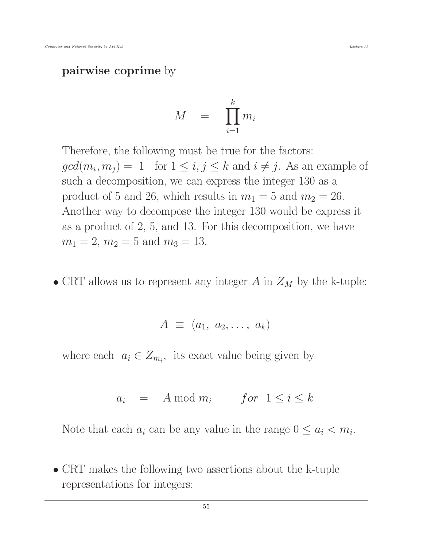pairwise coprime by

$$
M \quad = \quad \prod_{i=1}^k m_i
$$

Therefore, the following must be true for the factors:  $gcd(m_i, m_j) = 1$  for  $1 \le i, j \le k$  and  $i \ne j$ . As an example of such a decomposition, we can express the integer 130 as a product of 5 and 26, which results in  $m_1 = 5$  and  $m_2 = 26$ . Another way to decompose the integer 130 would be express it as a product of 2, 5, and 13. For this decomposition, we have  $m_1 = 2$ ,  $m_2 = 5$  and  $m_3 = 13$ .

• CRT allows us to represent any integer  $A$  in  $Z_M$  by the k-tuple:

$$
A \equiv (a_1, a_2, \ldots, a_k)
$$

where each  $a_i \in Z_{m_i}$ , its exact value being given by

$$
a_i = A \bmod m_i \quad for \quad 1 \le i \le k
$$

Note that each  $a_i$  can be any value in the range  $0 \le a_i < m_i$ .

 CRT makes the following two assertions about the k-tuple representations for integers: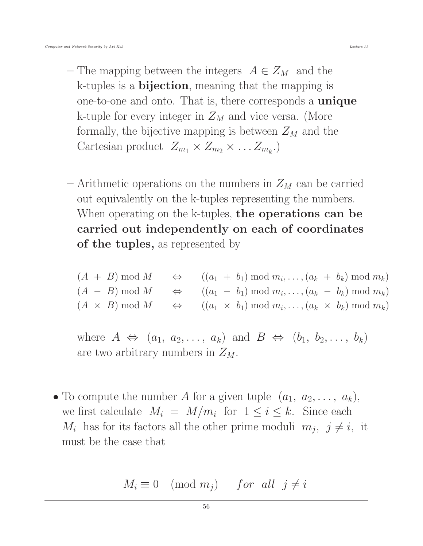- The mapping between the integers  $A \in Z_M$  and the k-tuples is a bijection, meaning that the mapping is one-to-one and onto. That is, there corresponds a unique k-tuple for every integer in  $Z_M$  and vice versa. (More formally, the bijective mapping is between  $Z_M$  and the Cartesian product  $Z_{m_1} \times Z_{m_2} \times \ldots Z_{m_k}$ .
- Arithmetic operations on the numbers in  $Z_M$  can be carried out equivalently on the k-tuples representing the numbers. When operating on the k-tuples, the operations can be carried out independently on each of coordinates of the tuples, as represented by

 $(A + B) \bmod M$   $\Leftrightarrow$   $((a_1 + b_1) \bmod m_i, \ldots, (a_k + b_k) \bmod m_k)$  $(A - B) \bmod M$   $\Leftrightarrow$   $((a_1 - b_1) \bmod m_i, \ldots, (a_k - b_k) \bmod m_k)$  $(A \times B) \bmod M \Leftrightarrow ((a_1 \times b_1) \bmod m_i, \ldots, (a_k \times b_k) \bmod m_k)$ 

where  $A \Leftrightarrow (a_1, a_2, \ldots, a_k)$  and  $B \Leftrightarrow (b_1, b_2, \ldots, b_k)$ are two arbitrary numbers in  $Z_M$ .

• To compute the number A for a given tuple  $(a_1, a_2, \ldots, a_k)$ , we first calculate  $M_i = M/m_i$  for  $1 \leq i \leq k$ . Since each  $M_i$  has for its factors all the other prime moduli  $m_j$ ,  $j \neq i$ , it must be the case that

$$
M_i \equiv 0 \pmod{m_j} \quad \text{for all } j \neq i
$$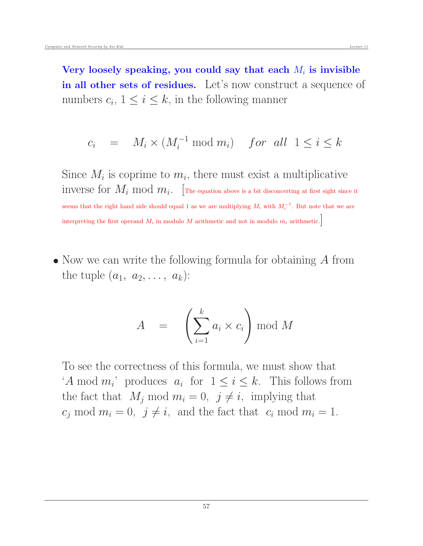Very loosely speaking, you could say that each  $M_i$  is invisible in all other sets of residues. Let's now construct a sequence of numbers  $c_i$ ,  $1 \leq i \leq k$ , in the following manner

$$
c_i = M_i \times (M_i^{-1} \bmod m_i) \quad \text{for all } 1 \le i \le k
$$

Since  $M_i$  is coprime to  $m_i$ , there must exist a multiplicative  $\text{inverse for} \ M_i \ \text{mod} \ m_i. \ \ \left[ \text{The equation above is a bit disconnecting at first sight since it} \right]$ seems that the right hand side should equal 1 as we are multiplying  $M_i$  with  $M_i^{-1}$ . But note that we are interpreting the first operand  $M_i$  in modulo M arithmetic and not in modulo  $m_i$  arithmetic.

• Now we can write the following formula for obtaining A from the tuple  $(a_1, a_2, \ldots, a_k)$ :

$$
A = \left(\sum_{i=1}^{k} a_i \times c_i\right) \bmod M
$$

To see the correctness of this formula, we must show that 'A mod  $m_i$ ' produces  $a_i$  for  $1 \le i \le k$ . This follows from the fact that  $M_j \text{ mod } m_i = 0, \ j \neq i$ , implying that  $c_j \text{ mod } m_i = 0, \ j \neq i, \text{ and the fact that } c_i \text{ mod } m_i = 1.$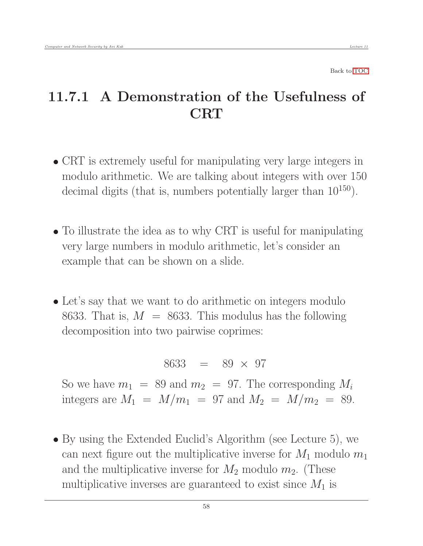## <span id="page-57-0"></span>11.7.1 A Demonstration of the Usefulness of **CRT**

- CRT is extremely useful for manipulating very large integers in modulo arithmetic. We are talking about integers with over 150 decimal digits (that is, numbers potentially larger than  $10^{150}$ ).
- To illustrate the idea as to why CRT is useful for manipulating very large numbers in modulo arithmetic, let's consider an example that can be shown on a slide.
- Let's say that we want to do arithmetic on integers modulo 8633. That is,  $M = 8633$ . This modulus has the following decomposition into two pairwise coprimes:

$$
8633 = 89 \times 97
$$

So we have  $m_1 = 89$  and  $m_2 = 97$ . The corresponding  $M_i$ integers are  $M_1 = M/m_1 = 97$  and  $M_2 = M/m_2 = 89$ .

 By using the Extended Euclid's Algorithm (see Lecture 5), we can next figure out the multiplicative inverse for  $M_1$  modulo  $m_1$ and the multiplicative inverse for  $M_2$  modulo  $m_2$ . (These multiplicative inverses are guaranteed to exist since  $M_1$  is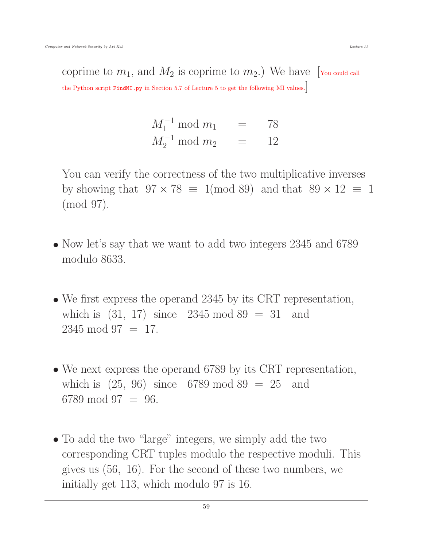coprime to  $m_1$ , and  $M_2$  is coprime to  $m_2$ .) We have [You could call the Python script FindMI.py in Section 5.7 of Lecture 5 to get the following MI values.]

> $M_1^{-1} \mod m_1 = 78$  $M_2^{-1} \mod m_2 = 12$

You can verify the correctness of the two multiplicative inverses by showing that  $97 \times 78 \equiv 1 \pmod{89}$  and that  $89 \times 12 \equiv 1$ (mod 97).

- Now let's say that we want to add two integers 2345 and 6789 modulo 8633.
- We first express the operand 2345 by its CRT representation, which is  $(31, 17)$  since  $2345 \mod 89 = 31$  and  $2345 \mod 97 = 17$ .
- We next express the operand 6789 by its CRT representation, which is  $(25, 96)$  since 6789 mod 89 = 25 and 6789 mod 97 = 96.
- To add the two "large" integers, we simply add the two corresponding CRT tuples modulo the respective moduli. This gives us (56, 16). For the second of these two numbers, we initially get 113, which modulo 97 is 16.

59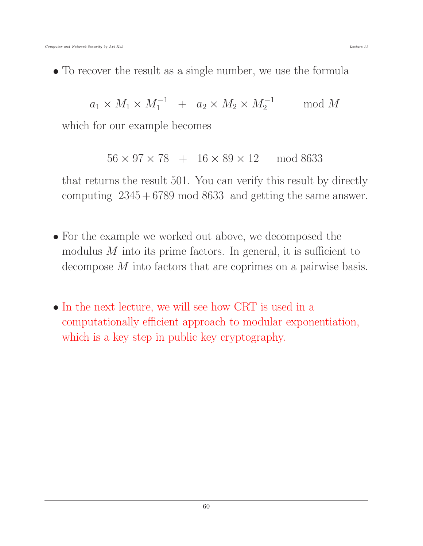• To recover the result as a single number, we use the formula

$$
a_1 \times M_1 \times M_1^{-1} + a_2 \times M_2 \times M_2^{-1} \quad \mod M
$$

which for our example becomes

 $56 \times 97 \times 78 + 16 \times 89 \times 12 \mod 8633$ 

that returns the result 501. You can verify this result by directly computing  $2345 + 6789 \mod 8633$  and getting the same answer.

- For the example we worked out above, we decomposed the modulus  $M$  into its prime factors. In general, it is sufficient to decompose M into factors that are coprimes on a pairwise basis.
- In the next lecture, we will see how CRT is used in a computationally efficient approach to modular exponentiation, which is a key step in public key cryptography.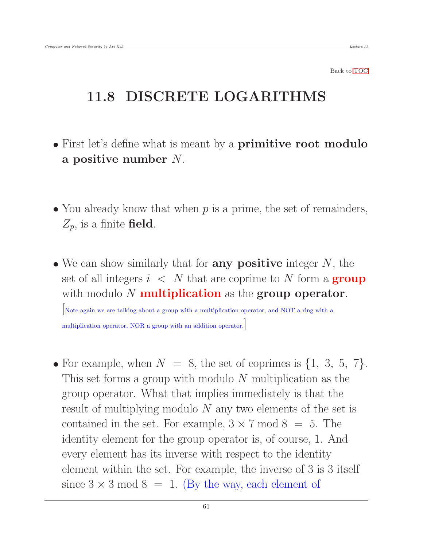## <span id="page-60-0"></span>11.8 DISCRETE LOGARITHMS

- First let's define what is meant by a **primitive root modulo** a positive number N.
- You already know that when  $p$  is a prime, the set of remainders,  $Z_p$ , is a finite field.
- $\bullet$  We can show similarly that for **any positive** integer  $N$ , the set of all integers  $i \leq N$  that are coprime to N form a **group** with modulo  $N$  multiplication as the group operator.

[Note again we are talking about a group with a multiplication operator, and NOT a ring with a multiplication operator, NOR a group with an addition operator.]

• For example, when  $N = 8$ , the set of coprimes is  $\{1, 3, 5, 7\}$ . This set forms a group with modulo  $N$  multiplication as the group operator. What that implies immediately is that the result of multiplying modulo  $N$  any two elements of the set is contained in the set. For example,  $3 \times 7 \text{ mod } 8 = 5$ . The identity element for the group operator is, of course, 1. And every element has its inverse with respect to the identity element within the set. For example, the inverse of 3 is 3 itself since  $3 \times 3 \text{ mod } 8 = 1$ . (By the way, each element of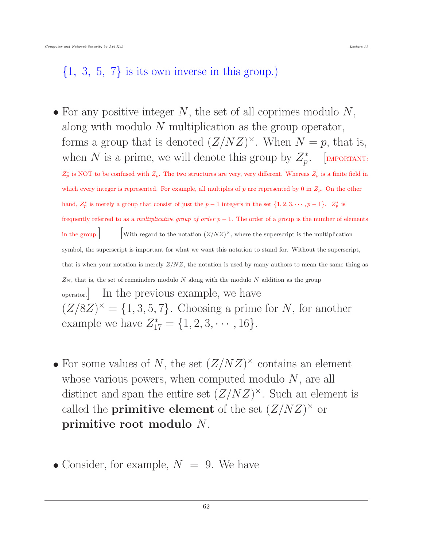### $\{1, 3, 5, 7\}$  is its own inverse in this group.)

- For any positive integer  $N$ , the set of all coprimes modulo  $N$ , along with modulo N multiplication as the group operator, forms a group that is denoted  $(Z/NZ)^{\times}$ . When  $N = p$ , that is, when N is a prime, we will denote this group by  $Z_p^*$ . [IMPORTANT:  $Z_p^*$  is NOT to be confused with  $Z_p$ . The two structures are very, very different. Whereas  $Z_p$  is a finite field in which every integer is represented. For example, all multiples of p are represented by 0 in  $Z_p$ . On the other hand,  $Z_p^*$  is merely a group that consist of just the  $p-1$  integers in the set  $\{1, 2, 3, \dots, p-1\}$ .  $Z_p^*$  is frequently referred to as a multiplicative group of order  $p - 1$ . The order of a group is the number of elements in the group.  $\left[\text{With regard to the notation } (Z/NZ)^{\times}, \text{ where the superscript is the multiplication}\right]$ symbol, the superscript is important for what we want this notation to stand for. Without the superscript, that is when your notation is merely  $Z/NZ$ , the notation is used by many authors to mean the same thing as  $Z_N$ , that is, the set of remainders modulo N along with the modulo N addition as the group operator.] In the previous example, we have  $(Z/8Z)^{\times} = \{1, 3, 5, 7\}.$  Choosing a prime for N, for another example we have  $Z_{17}^* = \{1, 2, 3, \cdots, 16\}.$
- For some values of N, the set  $(Z/NZ)^{\times}$  contains an element whose various powers, when computed modulo  $N$ , are all distinct and span the entire set  $(Z/NZ)^{\times}$ . Such an element is called the **primitive element** of the set  $(Z/NZ)^{\times}$  or primitive root modulo N.
- Consider, for example,  $N = 9$ . We have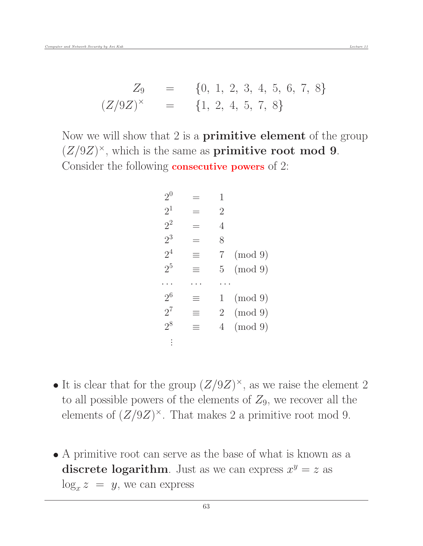Now we will show that 2 is a **primitive element** of the group  $(Z/9Z)^{\times}$ , which is the same as **primitive root mod 9**. Consider the following consecutive powers of 2:

| $2^{0}$        |     | 1              |         |
|----------------|-----|----------------|---------|
| $2^1$          |     | $\overline{2}$ |         |
| $2^2$          |     | 4              |         |
| $2^3$          |     | 8              |         |
| 2 <sup>4</sup> | =   | 7              | (mod 9) |
| 2 <sup>5</sup> | $=$ | 5              | (mod 9) |
|                |     |                |         |
| $2^6$          | =   | 1              | (mod 9) |
| $2^7$          | $=$ | $\overline{2}$ | (mod 9) |
| $2^8$          | Ξ   | 4              | (mod 9) |
|                |     |                |         |

- It is clear that for the group  $(Z/9Z)^{\times}$ , as we raise the element 2 to all possible powers of the elements of  $Z_9$ , we recover all the elements of  $(Z/9Z)^{\times}$ . That makes 2 a primitive root mod 9.
- A primitive root can serve as the base of what is known as a discrete logarithm. Just as we can express  $x^y = z$  as  $\log_x z = y$ , we can express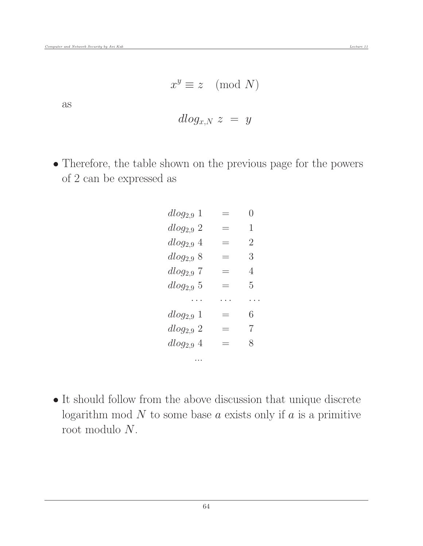as

$$
dlog_{x,N} z = y
$$

 Therefore, the table shown on the previous page for the powers of 2 can be expressed as

| $dlog_{2.9} 1$ |          | $\left( \ \right)$ |
|----------------|----------|--------------------|
| $dlog_{2.9} 2$ |          | 1                  |
| $dlog_{2.9}$ 4 |          | $\overline{2}$     |
| $dlog_{2.9} 8$ | $\equiv$ | 3                  |
| $dlog_{2.9} 7$ |          | 4                  |
| $dlog_{2.9} 5$ |          | 5                  |
|                |          |                    |
| $dlog_{2.9} 1$ | $\equiv$ | 6                  |
| $dlog_{2.9} 2$ | $\equiv$ | 7                  |
| $dlog_{2.9}$ 4 | $\equiv$ | 8                  |
|                |          |                    |

 $\bullet$  It should follow from the above discussion that unique discrete logarithm mod  $N$  to some base  $a$  exists only if  $a$  is a primitive root modulo N.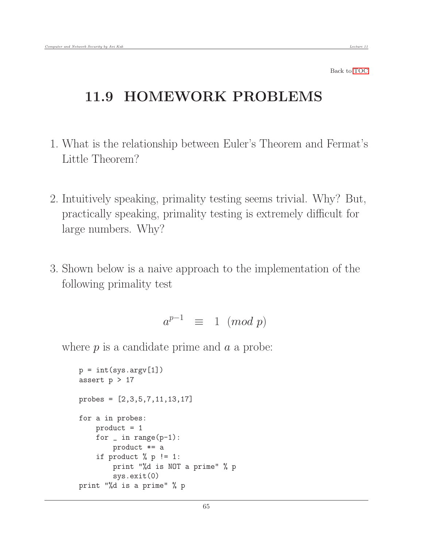### <span id="page-64-0"></span>11.9 HOMEWORK PROBLEMS

- 1. What is the relationship between Euler's Theorem and Fermat's Little Theorem?
- 2. Intuitively speaking, primality testing seems trivial. Why? But, practically speaking, primality testing is extremely difficult for large numbers. Why?
- 3. Shown below is a naive approach to the implementation of the following primality test

 $a^{p-1} \equiv 1 \pmod{p}$ 

where  $p$  is a candidate prime and  $a$  a probe:

```
p = int(sys.argv[1])assert p > 17probes = [2,3,5,7,11,13,17]
for a in probes:
    product = 1
    for \_ in range(p-1):
        product *= a
    if product % p := 1:
        print "%d is NOT a prime" % p
        sys.exit(0)
print "%d is a prime" % p
```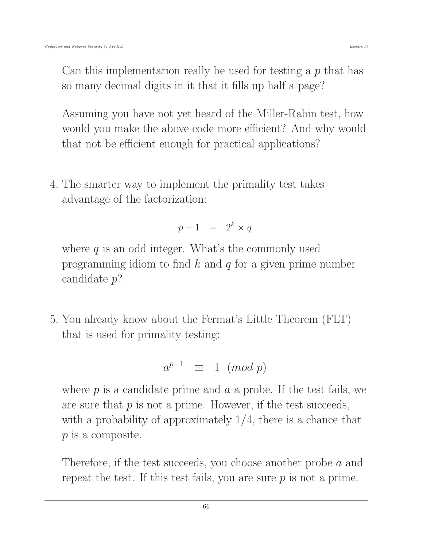Can this implementation really be used for testing a  $p$  that has so many decimal digits in it that it fills up half a page?

Assuming you have not yet heard of the Miller-Rabin test, how would you make the above code more efficient? And why would that not be efficient enough for practical applications?

4. The smarter way to implement the primality test takes advantage of the factorization:

$$
p-1 = 2^k \times q
$$

where  $q$  is an odd integer. What's the commonly used programming idiom to find  $k$  and  $q$  for a given prime number candidate p?

5. You already know about the Fermat's Little Theorem (FLT) that is used for primality testing:

$$
a^{p-1} \equiv 1 \pmod{p}
$$

where  $p$  is a candidate prime and  $a$  a probe. If the test fails, we are sure that  $p$  is not a prime. However, if the test succeeds, with a probability of approximately  $1/4$ , there is a chance that p is a composite.

Therefore, if the test succeeds, you choose another probe a and repeat the test. If this test fails, you are sure  $p$  is not a prime.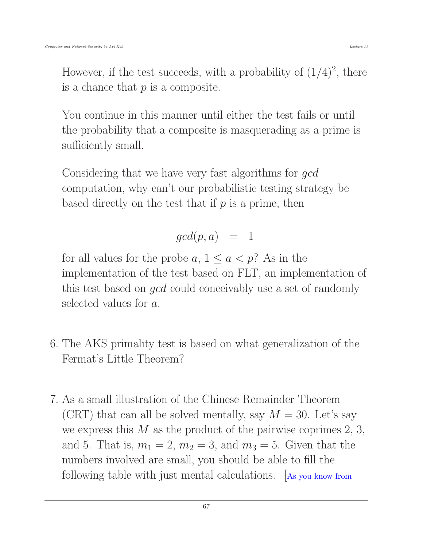is a chance that  $p$  is a composite.

You continue in this manner until either the test fails or until the probability that a composite is masquerading as a prime is sufficiently small.

Considering that we have very fast algorithms for *gcd* computation, why can't our probabilistic testing strategy be based directly on the test that if  $p$  is a prime, then

### $gcd(p, a) = 1$

for all values for the probe  $a, 1 \le a < p$ ? As in the implementation of the test based on FLT, an implementation of this test based on gcd could conceivably use a set of randomly selected values for a.

- 6. The AKS primality test is based on what generalization of the Fermat's Little Theorem?
- 7. As a small illustration of the Chinese Remainder Theorem (CRT) that can all be solved mentally, say  $M = 30$ . Let's say we express this  $M$  as the product of the pairwise coprimes 2, 3, and 5. That is,  $m_1 = 2$ ,  $m_2 = 3$ , and  $m_3 = 5$ . Given that the numbers involved are small, you should be able to fill the following table with just mental calculations. [As you know from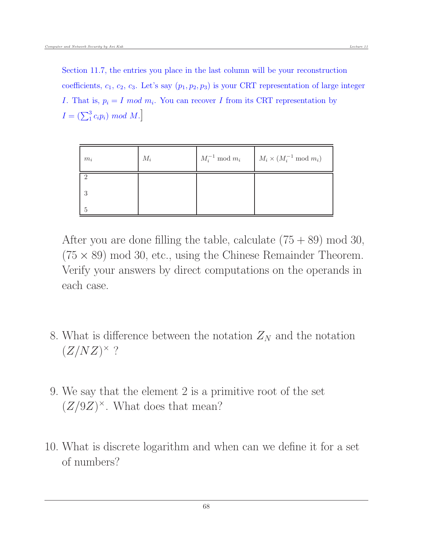Section 11.7, the entries you place in the last column will be your reconstruction coefficients,  $c_1, c_2, c_3$ . Let's say  $(p_1, p_2, p_3)$  is your CRT representation of large integer *I*. That is,  $p_i = I \mod m_i$ . You can recover *I* from its CRT representation by  $I = (\sum_1^3 c_i p_i) \mod M.$ 

| $m_i$ | $M_i$ | $M_i^{-1} \bmod m_i$ | $M_i \times (M_i^{-1} \mod m_i)$ |
|-------|-------|----------------------|----------------------------------|
|       |       |                      |                                  |
| 3     |       |                      |                                  |
| 5     |       |                      |                                  |

After you are done filling the table, calculate  $(75 + 89)$  mod 30,  $(75 \times 89)$  mod 30, etc., using the Chinese Remainder Theorem. Verify your answers by direct computations on the operands in each case.

- 8. What is difference between the notation  $Z_N$  and the notation  $(Z/NZ)^\times$  ?
- 9. We say that the element 2 is a primitive root of the set  $(Z/9Z)^{\times}$ . What does that mean?
- 10. What is discrete logarithm and when can we define it for a set of numbers?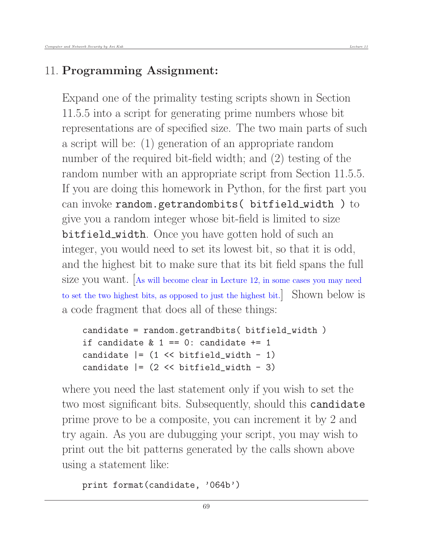### 11. Programming Assignment:

Expand one of the primality testing scripts shown in Section 11.5.5 into a script for generating prime numbers whose bit representations are of specified size. The two main parts of such a script will be: (1) generation of an appropriate random number of the required bit-field width; and (2) testing of the random number with an appropriate script from Section 11.5.5. If you are doing this homework in Python, for the first part you can invoke random.getrandombits( bitfield width ) to give you a random integer whose bit-field is limited to size bitfield\_width. Once you have gotten hold of such an integer, you would need to set its lowest bit, so that it is odd, and the highest bit to make sure that its bit field spans the full size you want. [As will become clear in Lecture 12, in some cases you may need to set the two highest bits, as opposed to just the highest bit.] Shown below is a code fragment that does all of these things:

```
candidate = random.getrandbits( bitfield_width )
if candidate \& 1 == 0: candidate += 1candidate = (1 \le \text{bitfield\_width} - 1)candidate = (2 \lt \lt b itfield\_width - 3)
```
where you need the last statement only if you wish to set the two most significant bits. Subsequently, should this candidate prime prove to be a composite, you can increment it by 2 and try again. As you are dubugging your script, you may wish to print out the bit patterns generated by the calls shown above using a statement like:

```
print format(candidate, '064b')
```